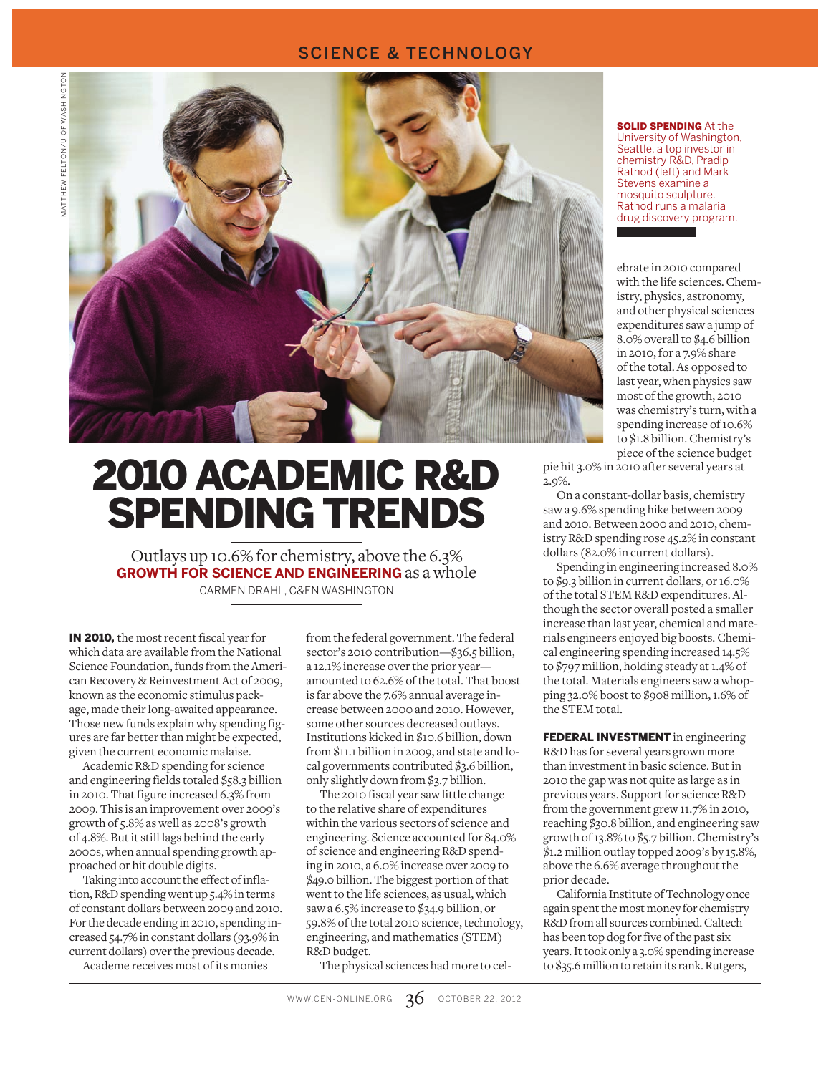#### SCIENCE & TECHNOLOGY



# 2010 ACADEMIC R&D SPENDING TRENDS

Outlays up 10.6% for chemistry, above the 6.3% **GROWTH FOR SCIENCE AND ENGINEERING** as a whole

CARMEN DRAHL, C&EN WASHINGTON

IN 2010, the most recent fiscal year for which data are available from the National Science Foundation, funds from the American Recovery & Reinvestment Act of 2009, known as the economic stimulus package, made their long-awaited appearance. Those new funds explain why spending figures are far better than might be expected, given the current economic malaise.

Academic R&D spending for science and engineering fields totaled \$58.3 billion in 2010. That figure increased 6.3% from 2009. This is an improvement over 2009's growth of 5.8% as well as 2008's growth of 4.8%. But it still lags behind the early 2000s, when annual spending growth approached or hit double digits.

Taking into account the effect of inflation, R&D spending went up 5.4% in terms of constant dollars between 2009 and 2010. For the decade ending in 2010, spending increased 54.7% in constant dollars (93.9% in current dollars) over the previous decade.

Academe receives most of its monies

from the federal government. The federal sector's 2010 contribution—\$36.5 billion, a 12.1% increase over the prior year amounted to 62.6% of the total. That boost is far above the 7.6% annual average increase between 2000 and 2010. However, some other sources decreased outlays. Institutions kicked in \$10.6 billion, down from \$11.1 billion in 2009, and state and local governments contributed \$3.6 billion, only slightly down from \$3.7 billion.

The 2010 fiscal year saw little change to the relative share of expenditures within the various sectors of science and engineering. Science accounted for 84.0% of science and engineering R&D spending in 2010, a 6.0% increase over 2009 to \$49.0 billion. The biggest portion of that went to the life sciences, as usual, which saw a 6.5% increase to \$34.9 billion, or 59.8% of the total 2010 science, technology, engineering, and mathematics (STEM) R&D budget.

The physical sciences had more to cel-

**SOLID SPENDING At the** University of Washington, Seattle, a top investor in chemistry R&D, Pradip Rathod (left) and Mark Stevens examine a mosquito sculpture. Rathod runs a malaria drug discovery program.

ebrate in 2010 compared with the life sciences. Chemistry, physics, astronomy, and other physical sciences expenditures saw a jump of 8.0% overall to \$4.6 billion in 2010, for a 7.9% share of the total. As opposed to last year, when physics saw most of the growth, 2010 was chemistry's turn, with a spending increase of 10.6% to \$1.8 billion. Chemistry's piece of the science budget

pie hit 3.0% in 2010 after several years at 2.9%.

On a constant-dollar basis, chemistry saw a 9.6% spending hike between 2009 and 2010. Between 2000 and 2010, chemistry R&D spending rose 45.2% in constant dollars (82.0% in current dollars).

Spending in engineering increased 8.0% to \$9.3 billion in current dollars, or 16.0% of the total STEM R&D expenditures. Although the sector overall posted a smaller increase than last year, chemical and materials engineers enjoyed big boosts. Chemical engineering spending increased 14.5% to \$797 million, holding steady at 1.4% of the total. Materials engineers saw a whopping 32.0% boost to \$908 million, 1.6% of the STEM total.

FEDERAL INVESTMENT in engineering R&D has for several years grown more than investment in basic science. But in 2010 the gap was not quite as large as in previous years. Support for science R&D from the government grew 11.7% in 2010, reaching \$30.8 billion, and engineering saw growth of 13.8% to \$5.7 billion. Chemistry's  $\bar{\mathfrak{g}}_{1,2}$  million outlay topped 2009's by 15.8%, above the 6.6% average throughout the prior decade.

California Institute of Technology once again spent the most money for chemistry R&D from all sources combined. Caltech has been top dog for five of the past six years. It took only a 3.0% spending increase to \$35.6 million to retain its rank. Rutgers,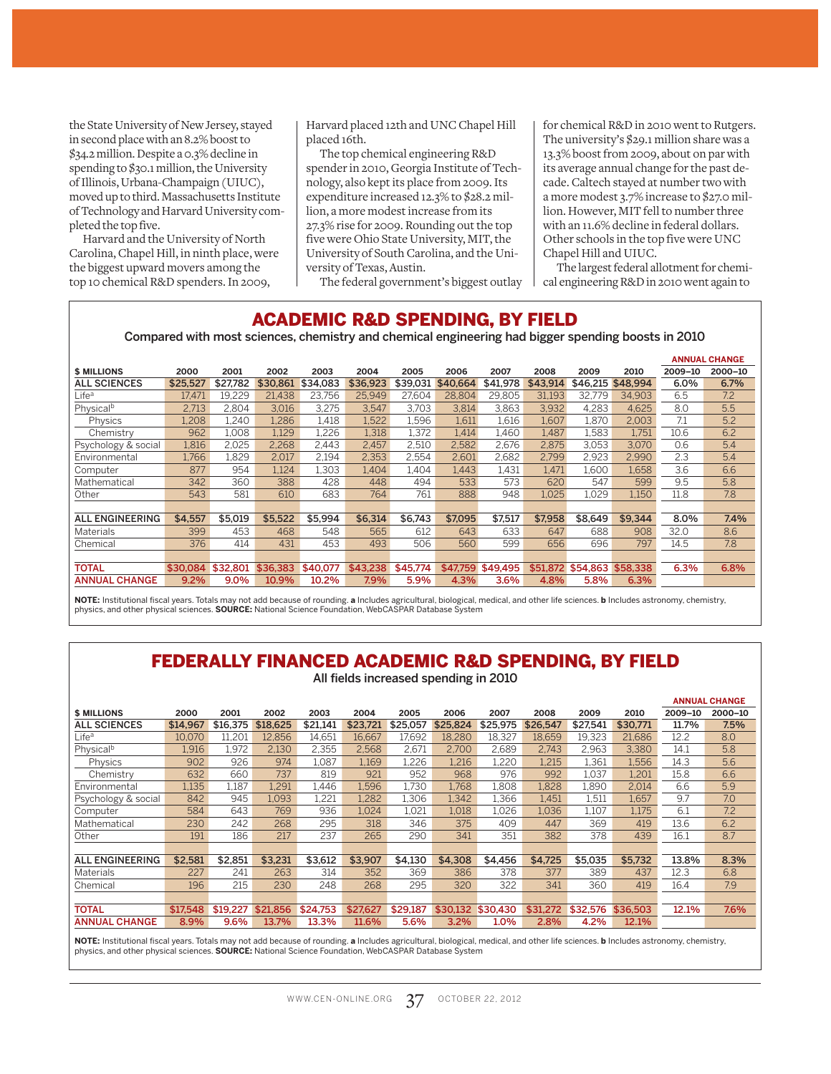the State University of New Jersey, stayed in second place with an 8.2% boost to \$34.2 million. Despite a 0.3% decline in spending to \$30.1 million, the University of Illinois, Urbana-Champaign (UIUC), moved up to third. Massachusetts Institute of Technology and Harvard University completed the top five.

Harvard and the University of North Carolina, Chapel Hill, in ninth place, were the biggest upward movers among the top 10 chemical R&D spenders. In 2009,

Harvard placed 12th and UNC Chapel Hill placed 16th.

The top chemical engineering R&D spender in 2010, Georgia Institute of Technology, also kept its place from 2009. Its expenditure increased 12.3% to \$28.2 million, a more modest increase from its 27.3% rise for 2009. Rounding out the top five were Ohio State University, MIT, the University of South Carolina, and the University of Texas, Austin.

for chemical R&D in 2010 went to Rutgers. The university's \$29.1 million share was a 13.3% boost from 2009, about on par with its average annual change for the past decade. Caltech stayed at number two with a more modest 3.7% increase to \$27.0 million. However, MIT fell to number three with an 11.6% decline in federal dollars. Other schools in the top five were UNC Chapel Hill and UIUC.

The largest federal allotment for chemical engineering R&D in 2010 went again to

The federal government's biggest outlay

#### ACADEMIC R&D SPENDING, BY FIELD

#### Compared with most sciences, chemistry and chemical engineering had bigger spending boosts in 2010

|                        |          |          |          |          |          |          |          |          |          |                   |          |         | <b>ANNUAL CHANGE</b> |
|------------------------|----------|----------|----------|----------|----------|----------|----------|----------|----------|-------------------|----------|---------|----------------------|
| <b>\$ MILLIONS</b>     | 2000     | 2001     | 2002     | 2003     | 2004     | 2005     | 2006     | 2007     | 2008     | 2009              | 2010     | 2009-10 | 2000-10              |
| <b>ALL SCIENCES</b>    | \$25,527 | \$27.782 | \$30.861 | \$34.083 | \$36,923 | \$39,031 | \$40,664 | \$41,978 | \$43.914 | \$46,215          | \$48,994 | 6.0%    | 6.7%                 |
| Lifeª                  | 17,471   | 19.229   | 21.438   | 23.756   | 25.949   | 27.604   | 28.804   | 29.805   | 31,193   | 32.779            | 34.903   | 6.5     | 7.2                  |
| Physical <sup>b</sup>  | 2.713    | 2.804    | 3.016    | 3.275    | 3.547    | 3.703    | 3,814    | 3,863    | 3,932    | 4.283             | 4.625    | 8.0     | 5.5                  |
| Physics                | 1,208    | 1.240    | 1,286    | 1.418    | 1,522    | 1,596    | 1,611    | 1,616    | 1,607    | 1.870             | 2.003    | 7.1     | 5.2                  |
| Chemistry              | 962      | 1.008    | 1.129    | 1,226    | 1.318    | 1.372    | 1.414    | 1.460    | 1.487    | l.583             | 1.751    | 10.6    | 6.2                  |
| Psychology & social    | 1,816    | 2.025    | 2,268    | 2.443    | 2.457    | 2.510    | 2,582    | 2.676    | 2.875    | 3.053             | 3.070    | 0.6     | 5.4                  |
| Environmental          | 1.766    | l.829    | 2.017    | 2,194    | 2,353    | 2,554    | 2,601    | 2,682    | 2.799    | 2,923             | 2.990    | 2.3     | 5.4                  |
| Computer               | 877      | 954      | 1,124    | 1,303    | 1.404    | 1,404    | 1,443    | 1,431    | 1.471    | 1.600             | 1.658    | 3.6     | 6.6                  |
| Mathematical           | 342      | 360      | 388      | 428      | 448      | 494      | 533      | 573      | 620      | 547               | 599      | 9.5     | 5.8                  |
| Other                  | 543      | 581      | 610      | 683      | 764      | 761      | 888      | 948      | 1.025    | 1.029             | 1,150    | 11.8    | 7.8                  |
|                        |          |          |          |          |          |          |          |          |          |                   |          |         |                      |
| <b>ALL ENGINEERING</b> | \$4,557  | \$5,019  | \$5,522  | \$5,994  | \$6,314  | \$6.743  | \$7,095  | \$7,517  | \$7,958  | \$8.649           | \$9,344  | 8.0%    | 7.4%                 |
| Materials              | 399      | 453      | 468      | 548      | 565      | 612      | 643      | 633      | 647      | 688               | 908      | 32.0    | 8.6                  |
| Chemical               | 376      | 414      | 431      | 453      | 493      | 506      | 560      | 599      | 656      | 696               | 797      | 14.5    | 7.8                  |
|                        |          |          |          |          |          |          |          |          |          |                   |          |         |                      |
| <b>TOTAL</b>           | \$30,084 | \$32,801 | \$36.383 | \$40,077 | \$43,238 | \$45,774 | \$47.759 | \$49,495 |          | \$51,872 \$54,863 | \$58,338 | 6.3%    | 6.8%                 |
| <b>ANNUAL CHANGE</b>   | 9.2%     | 9.0%     | 10.9%    | 10.2%    | 7.9%     | 5.9%     | 4.3%     | 3.6%     | 4.8%     | 5.8%              | 6.3%     |         |                      |

**NOTE:** Institutional fiscal years. Totals may not add because of rounding. **a** Includes agricultural, biological, medical, and other life sciences. **b** Includes astronomy, chemistry,<br>physics, and other physical sciences.

# FEDERALLY FINANCED ACADEMIC R&D SPENDING, BY FIELD

All fields increased spending in 2010

|                        |          |          |          |          |          |          |          |          |          |          |          |         | <b>ANNUAL CHANGE</b> |
|------------------------|----------|----------|----------|----------|----------|----------|----------|----------|----------|----------|----------|---------|----------------------|
| <b>\$ MILLIONS</b>     | 2000     | 2001     | 2002     | 2003     | 2004     | 2005     | 2006     | 2007     | 2008     | 2009     | 2010     | 2009-10 | 2000-10              |
| <b>ALL SCIENCES</b>    | \$14,967 | \$16.375 | \$18,625 | \$21.141 | \$23,721 | \$25,057 | \$25,824 | \$25,975 | \$26,547 | \$27.541 | \$30.771 | 11.7%   | 7.5%                 |
| Life <sup>a</sup>      | 10.070   | 11.201   | 12.856   | 14.651   | 16.667   | 17.692   | 18.280   | 18.327   | 18.659   | 19.323   | 21.686   | 12.2    | 8.0                  |
| Physical <sup>b</sup>  | 1,916    | 1.972    | 2,130    | 2.355    | 2.568    | 2,671    | 2.700    | 2,689    | 2.743    | 2.963    | 3,380    | 14.1    | 5.8                  |
| Physics                | 902      | 926      | 974      | 1.087    | 1.169    | 1.226    | 1.216    | .220     | 1.215    | 1.361    | 1.556    | 14.3    | 5.6                  |
| Chemistry              | 632      | 660      | 737      | 819      | 921      | 952      | 968      | 976      | 992      | 1.037    | 1.201    | 15.8    | 6.6                  |
| Environmental          | 1,135    | 1.187    | 1.291    | 1.446    | 1,596    | 1.730    | 1.768    | 1.808    | 1.828    | 1,890    | 2.014    | 6.6     | 5.9                  |
| Psychology & social    | 842      | 945      | 1.093    | ,221     | 1.282    | 1,306    | 1.342    | l.366    | 1.451    | 1,511    | 1.657    | 9.7     | 7.0                  |
| Computer               | 584      | 643      | 769      | 936      | 1,024    | 1,021    | 1,018    | 1.026    | 1.036    | 1.107    | 1.175    | 6.1     | 7.2                  |
| Mathematical           | 230      | 242      | 268      | 295      | 318      | 346      | 375      | 409      | 447      | 369      | 419      | 13.6    | 6.2                  |
| Other                  | 191      | 186      | 217      | 237      | 265      | 290      | 341      | 351      | 382      | 378      | 439      | 16.1    | 8.7                  |
|                        |          |          |          |          |          |          |          |          |          |          |          |         |                      |
| <b>ALL ENGINEERING</b> | \$2,581  | \$2.851  | \$3,231  | \$3,612  | \$3,907  | \$4,130  | \$4,308  | \$4.456  | \$4.725  | \$5,035  | \$5,732  | 13.8%   | 8.3%                 |
| Materials              | 227      | 241      | 263      | 314      | 352      | 369      | 386      | 378      | 377      | 389      | 437      | 12.3    | 6.8                  |
| Chemical               | 196      | 215      | 230      | 248      | 268      | 295      | 320      | 322      | 341      | 360      | 419      | 16.4    | 7.9                  |
|                        |          |          |          |          |          |          |          |          |          |          |          |         |                      |
| <b>TOTAL</b>           | \$17.548 | \$19,227 | \$21,856 | \$24,753 | \$27.627 | \$29,187 | \$30.132 | \$30,430 | \$31,272 | \$32,576 | \$36,503 | 12.1%   | 7.6%                 |
| <b>ANNUAL CHANGE</b>   | 8.9%     | 9.6%     | 13.7%    | 13.3%    | 11.6%    | 5.6%     | 3.2%     | 1.0%     | 2.8%     | 4.2%     | 12.1%    |         |                      |

**NOTE:** Institutional fiscal years. Totals may not add because of rounding. **a** Includes agricultural, biological, medical, and other life sciences. **b** Includes astronomy, chemistry, physics, and other physical sciences. **SOURCE:** National Science Foundation, WebCASPAR Database System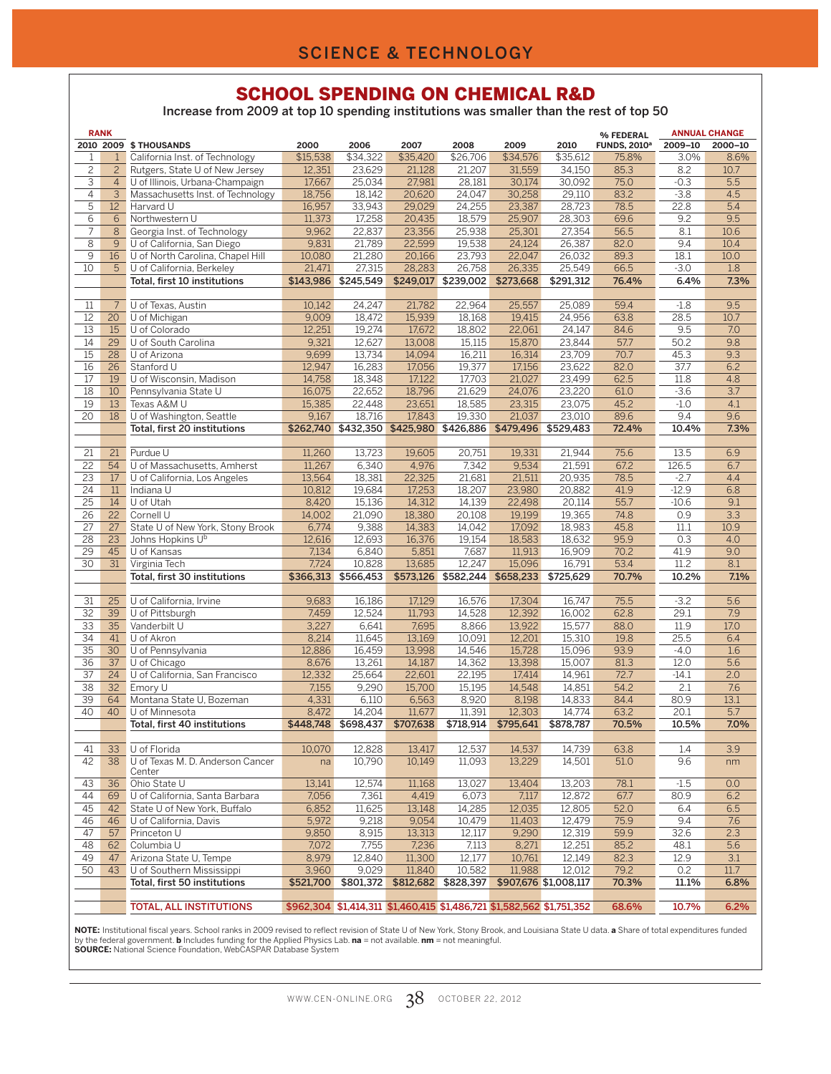#### SCHOOL SPENDING ON CHEMICAL R&D

Increase from 2009 at top 10 spending institutions was smaller than the rest of top 50

|                 | <b>RANK</b>      |                                   |           |                     |           |                                                                       |           |                       | % FEDERAL                      |         | <b>ANNUAL CHANGE</b> |
|-----------------|------------------|-----------------------------------|-----------|---------------------|-----------|-----------------------------------------------------------------------|-----------|-----------------------|--------------------------------|---------|----------------------|
|                 |                  | 2010 2009 \$ THOUSANDS            | 2000      | 2006                | 2007      | 2008                                                                  | 2009      | 2010                  | <b>FUNDS, 2010<sup>a</sup></b> | 2009-10 | 2000-10              |
| $\mathbf{1}$    | $\mathbf{1}$     | California Inst. of Technology    | \$15,538  | \$34,322            | \$35,420  | \$26,706                                                              | \$34,576  | \$35,612              | 75.8%                          | 3.0%    | 8.6%                 |
| $\overline{c}$  | $\overline{2}$   | Rutgers, State U of New Jersey    | 12,351    | 23,629              | 21,128    | 21,207                                                                | 31,559    | 34,150                | 85.3                           | 8.2     | 10.7                 |
| 3               | 4                | U of Illinois, Urbana-Champaign   | 17,667    | 25,034              | 27,981    | 28,181                                                                | 30,174    | 30,092                | 75.0                           | $-0.3$  | 5.5                  |
| $\overline{4}$  | $\overline{3}$   | Massachusetts Inst. of Technology | 18,756    | 18,142              | 20,620    | 24,047                                                                | 30,258    | 29,110                | 83.2                           | $-3.8$  | 4.5                  |
| 5               | 12 <sup>2</sup>  | Harvard U                         | 16,957    | 33,943              | 29.029    | 24,255                                                                | 23,387    | 28,723                | 78.5                           | 22.8    | 5.4                  |
| 6               | 6                | Northwestern U                    | 11,373    | 17,258              | 20,435    | 18,579                                                                | 25,907    | 28,303                | 69.6                           | 9.2     | 9.5                  |
| 7               | 8                | Georgia Inst. of Technology       | 9,962     | 22,837              | 23,356    | 25,938                                                                | 25,301    | 27,354                | 56.5                           | 8.1     | 10.6                 |
|                 |                  |                                   |           |                     |           |                                                                       |           |                       |                                |         |                      |
| 8               | 9 <sup>°</sup>   | U of California, San Diego        | 9,831     | 21,789              | 22,599    | 19,538                                                                | 24,124    | 26,387                | 82.0                           | 9.4     | 10.4                 |
| 9               | 16 <sup>16</sup> | U of North Carolina, Chapel Hill  | 10,080    | 21,280              | 20,166    | 23,793                                                                | 22,047    | 26,032                | 89.3                           | 18.1    | 10.0                 |
| 10              | 5                | U of California, Berkeley         | 21,471    | 27,315              | 28,283    | 26,758                                                                | 26,335    | 25,549                | 66.5                           | $-3.0$  | 1.8                  |
|                 |                  | Total, first 10 institutions      | \$143,986 | \$245,549           |           | \$249,017 \$239,002                                                   | \$273,668 | \$291.312             | 76.4%                          | 6.4%    | 7.3%                 |
|                 |                  |                                   |           |                     |           |                                                                       |           |                       |                                |         |                      |
| 11              | $7\overline{ }$  | U of Texas, Austin                | 10.142    | 24,247              | 21,782    | 22,964                                                                | 25,557    | 25,089                | 59.4                           | $-1.8$  | 9.5                  |
| 12              | 20               | U of Michigan                     | 9,009     | 18,472              | 15,939    | 18,168                                                                | 19,415    | 24,956                | 63.8                           | 28.5    | 10.7                 |
| 13              | 15               | U of Colorado                     | 12,251    | 19,274              | 17,672    | 18,802                                                                | 22,061    | 24,147                | 84.6                           | 9.5     | 7.0                  |
| 14              | 29               | U of South Carolina               | 9,321     | 12,627              | 13,008    | 15,115                                                                | 15,870    | 23,844                | 57.7                           | 50.2    | 9.8                  |
| $\overline{15}$ | 28               | U of Arizona                      | 9,699     | 13,734              | 14,094    | 16,211                                                                | 16,314    | 23,709                | 70.7                           | 45.3    | 9.3                  |
| 16              | $\overline{26}$  | Stanford U                        | 12,947    | 16,283              | 17,056    | 19,377                                                                | 17,156    | 23,622                | 82.0                           | 37.7    | 6.2                  |
| 17              | 19               | U of Wisconsin, Madison           | 14,758    | 18,348              | 17,122    | 17,703                                                                | 21,027    | 23,499                | 62.5                           | 11.8    | 4.8                  |
| 18              | 10               | Pennsylvania State U              | 16,075    | 22,652              | 18,796    | 21,629                                                                | 24,076    | 23,220                | 61.0                           | $-3.6$  | 3.7                  |
| $\overline{19}$ | 13               | Texas A&M U                       | 15,385    | 22,448              | 23,651    | 18,585                                                                | 23,315    | 23,075                | 45.2                           | $-1.0$  | 4.1                  |
| $\overline{20}$ | $\overline{18}$  | U of Washington, Seattle          | 9,167     | 18,716              | 17.843    | 19,330                                                                | 21,037    | 23,010                | 89.6                           | 9.4     | 9.6                  |
|                 |                  |                                   |           |                     |           | \$262,740 \$432,350 \$425,980 \$426,886 \$479,496                     |           | \$529,483             | 72.4%                          | 10.4%   | 7.3%                 |
|                 |                  | Total, first 20 institutions      |           |                     |           |                                                                       |           |                       |                                |         |                      |
| 21              | 21               | Purdue U                          | 11,260    | 13,723              | 19.605    | 20,751                                                                | 19,331    | 21,944                | 75.6                           | 13.5    | 6.9                  |
|                 |                  |                                   |           |                     |           |                                                                       |           |                       |                                |         |                      |
| $\overline{22}$ | 54               | U of Massachusetts, Amherst       | 11,267    | 6,340               | 4,976     | 7,342                                                                 | 9,534     | 21,591                | 67.2                           | 126.5   | 6.7                  |
| $\overline{23}$ | 17 <sup>2</sup>  | U of California, Los Angeles      | 13,564    | 18,381              | 22,325    | 21,681                                                                | 21,511    | 20,935                | 78.5                           | $-2.7$  | 4.4                  |
| 24              | 11               | Indiana U                         | 10,812    | 19,684              | 17,253    | 18,207                                                                | 23,980    | 20,882                | 41.9                           | $-12.9$ | 6.8                  |
| $\overline{25}$ | 14               | U of Utah                         | 8,420     | 15,136              | 14,312    | 14,139                                                                | 22,498    | 20,114                | 55.7                           | $-10.6$ | 9.1                  |
| $\overline{26}$ | 22               | Cornell U                         | 14,002    | 21,090              | 18,380    | 20,108                                                                | 19,199    | 19,365                | 74.8                           | 0.9     | 3.3                  |
| $\overline{27}$ | $\overline{27}$  | State U of New York, Stony Brook  | 6,774     | 9,388               | 14,383    | 14,042                                                                | 17,092    | 18,983                | 45.8                           | 11.1    | 10.9                 |
| 28              | 23               | Johns Hopkins U <sup>b</sup>      | 12,616    | 12,693              | 16,376    | 19,154                                                                | 18,583    | 18,632                | 95.9                           | 0.3     | 4.0                  |
| $\overline{29}$ | 45               | U of Kansas                       | 7,134     | 6,840               | 5,851     | 7,687                                                                 | 11,913    | 16,909                | 70.2                           | 41.9    | 9.0                  |
| $\overline{30}$ | 31               | Virginia Tech                     | 7,724     | 10,828              | 13,685    | 12,247                                                                | 15,096    | 16,791                | 53.4                           | 11.2    | 8.1                  |
|                 |                  | Total, first 30 institutions      |           | \$366,313 \$566,453 |           | \$573,126 \$582,244 \$658,233                                         |           | \$725,629             | 70.7%                          | 10.2%   | 7.1%                 |
|                 |                  |                                   |           |                     |           |                                                                       |           |                       |                                |         |                      |
| 31              | 25               | U of California, Irvine           | 9,683     | 16,186              | 17,129    | 16,576                                                                | 17,304    | 16,747                | 75.5                           | $-3.2$  | 5.6                  |
| $\overline{32}$ | 39               | U of Pittsburgh                   | 7,459     | 12,524              | 11,793    | 14,528                                                                | 12,392    | 16,002                | 62.8                           | 29.1    | 7.9                  |
| $\overline{33}$ | $\overline{35}$  | Vanderbilt U                      | 3,227     | 6,641               | 7,695     | 8,866                                                                 | 13,922    | 15,577                | 88.0                           | 11.9    | 17.0                 |
| 34              | 41               | U of Akron                        | 8,214     | 11,645              | 13,169    | 10,091                                                                | 12,201    | 15,310                | 19.8                           | 25.5    | 6.4                  |
| $\overline{35}$ | 30               | U of Pennsylvania                 | 12,886    | 16,459              | 13,998    | 14,546                                                                | 15,728    | 15,096                | 93.9                           | $-4.0$  | 1.6                  |
| 36              | 37 <sup>2</sup>  | U of Chicago                      | 8,676     | 13,261              | 14,187    | 14,362                                                                | 13,398    | 15,007                | 81.3                           | 12.0    | 5.6                  |
| $\overline{37}$ | 24               | U of California, San Francisco    | 12,332    | 25,664              | 22,601    | 22,195                                                                | 17,414    | 14,961                | 72.7                           | $-14.1$ | 2.0                  |
|                 |                  |                                   |           | 9,290               |           |                                                                       |           |                       |                                |         |                      |
| $\overline{38}$ | 32 <sup>2</sup>  | Emory U                           | 7,155     |                     | 15,700    | 15,195                                                                | 14,548    | 14,851                | 54.2                           | 2.1     | 7.6                  |
| $\overline{39}$ | 64               | Montana State U, Bozeman          | 4,331     | 6,110               | 6,563     | 8,920                                                                 | 8,198     | 14,833                | 84.4                           | 80.9    | 13.1                 |
| 40              | 40               | U of Minnesota                    | 8,472     | 14,204              | 11,677    | 11,391                                                                | 12.303    | 14,774                | 63.2                           | 20.1    | 5.7                  |
|                 |                  | Total, first 40 institutions      |           | \$448,748 \$698,437 | \$707,638 | \$718,914                                                             | \$795,641 | \$878,787             | 70.5%                          | 10.5%   | 7.0%                 |
|                 |                  |                                   |           |                     |           |                                                                       |           |                       |                                |         |                      |
| 41              | 33 <sup>7</sup>  | U of Florida                      | 10,070    | 12,828              | 13,417    | 12,537                                                                | 14,537    | 14,739                | 63.8                           | 1.4     | 3.9                  |
| 42              | 38               | U of Texas M. D. Anderson Cancer  | na        | 10,790              | 10,149    | 11,093                                                                | 13,229    | 14,501                | 51.0                           | 9.6     | nm                   |
| 43              | 36               | Center<br>Ohio State U            | 13,141    | 12,574              |           |                                                                       | 13,404    | 13,203                | 78.1                           |         |                      |
|                 |                  |                                   |           |                     | 11,168    | 13,027                                                                |           |                       |                                | $-1.5$  | 0.0                  |
| 44              | 69               | U of California, Santa Barbara    | 7,056     | 7,361               | 4,419     | 6,073                                                                 | 7,117     | 12,872                | 67.7                           | 80.9    | 6.2                  |
| 45              | 42               | State U of New York, Buffalo      | 6,852     | 11,625              | 13,148    | 14,285                                                                | 12,035    | 12,805                | 52.0                           | 6.4     | 6.5                  |
| 46              | 46               | U of California, Davis            | 5,972     | 9,218               | 9,054     | 10,479                                                                | 11,403    | 12,479                | 75.9                           | 9.4     | 7.6                  |
| 47              | 57               | Princeton U                       | 9,850     | 8,915               | 13,313    | 12,117                                                                | 9,290     | 12,319                | 59.9                           | 32.6    | 2.3                  |
| 48              | 62               | Columbia U                        | 7,072     | 7,755               | 7,236     | 7,113                                                                 | 8,271     | 12,251                | 85.2                           | 48.1    | 5.6                  |
| 49              | 47               | Arizona State U, Tempe            | 8,979     | 12,840              | 11,300    | 12,177                                                                | 10,761    | 12,149                | 82.3                           | 12.9    | 3.1                  |
| 50              | 43               | U of Southern Mississippi         | 3,960     | 9,029               | 11,840    | 10,582                                                                | 11,988    | 12,012                | 79.2                           | 0.2     | 11.7                 |
|                 |                  | Total, first 50 institutions      | \$521,700 | \$801,372           | \$812,682 | \$828,397                                                             |           | \$907,676 \$1,008,117 | 70.3%                          | 11.1%   | 6.8%                 |
|                 |                  |                                   |           |                     |           |                                                                       |           |                       |                                |         |                      |
|                 |                  | <b>TOTAL, ALL INSTITUTIONS</b>    |           |                     |           | \$962,304 \$1,414,311 \$1,460,415 \$1,486,721 \$1,582,562 \$1,751,352 |           |                       | 68.6%                          | 10.7%   | 6.2%                 |

**NOTE:** Institutional fiscal years. School ranks in 2009 revised to reflect revision of State U of New York, Stony Brook, and Louisiana State U data. **a** Share of total expenditures funded<br>by the federal government. **b** In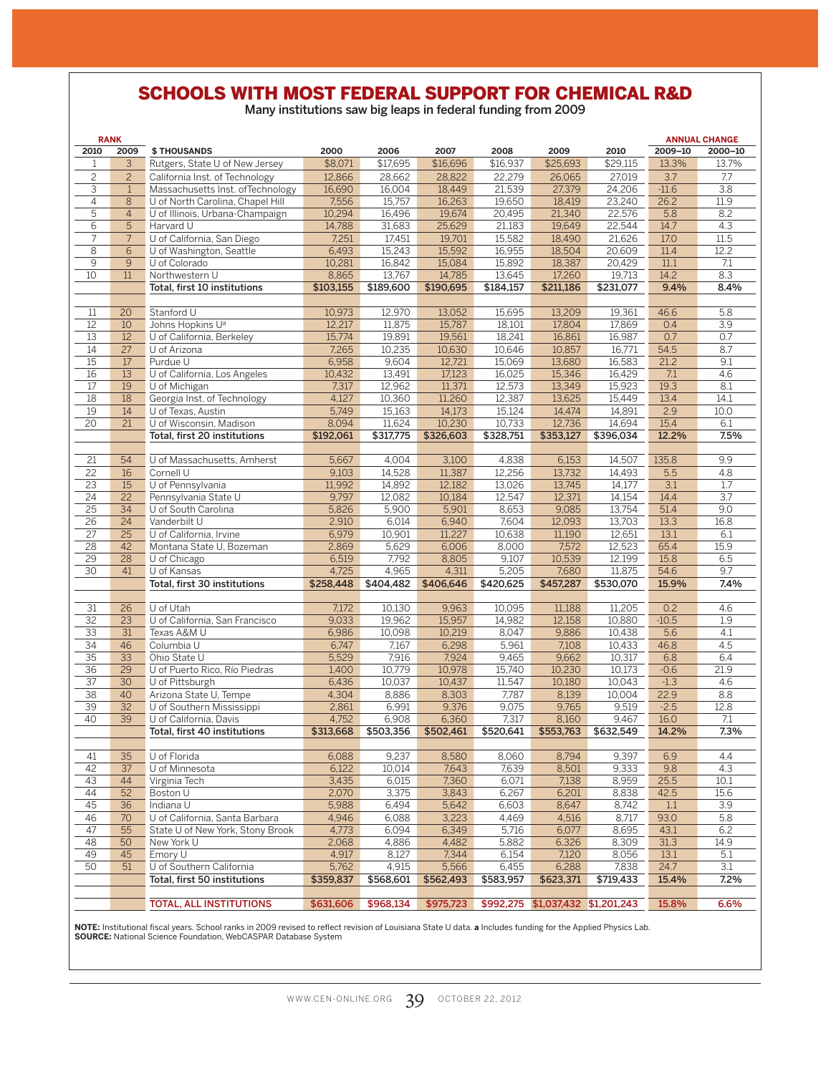# SCHOOLS WITH MOST FEDERAL SUPPORT FOR CHEMICAL R&D

Many institutions saw big leaps in federal funding from 2009

|                 | <b>RANK</b>     |                                   |           |           |           |           |                                   |           |                  | <b>ANNUAL CHANGE</b> |
|-----------------|-----------------|-----------------------------------|-----------|-----------|-----------|-----------|-----------------------------------|-----------|------------------|----------------------|
| 2010            | 2009            | <b>\$THOUSANDS</b>                | 2000      | 2006      | 2007      | 2008      | 2009                              | 2010      | 2009-10          | 2000-10              |
| 1               | 3               | Rutgers, State U of New Jersey    | \$8,071   | \$17,695  | \$16,696  | \$16,937  | \$25,693                          | \$29,115  | 13.3%            | 13.7%                |
| $\overline{c}$  | $\overline{c}$  | California Inst. of Technology    | 12,866    | 28,662    | 28,822    | 22,279    | 26,065                            | 27,019    | 3.7              | 7.7                  |
| 3               | $\mathbf{1}$    | Massachusetts Inst. of Technology | 16,690    | 16,004    | 18,449    | 21,539    | 27,379                            | 24,206    | $-11.6$          | 3.8                  |
|                 |                 |                                   |           |           |           |           |                                   |           |                  |                      |
| $\overline{4}$  | 8               | U of North Carolina, Chapel Hill  | 7,556     | 15,757    | 16,263    | 19,650    | 18,419                            | 23,240    | 26.2             | 11.9                 |
| $\overline{5}$  | $\overline{4}$  | U of Illinois, Urbana-Champaign   | 10,294    | 16,496    | 19.674    | 20,495    | 21,340                            | 22,576    | $\overline{5.8}$ | 8.2                  |
| 6               | 5               | Harvard U                         | 14,788    | 31,683    | 25,629    | 21,183    | 19,649                            | 22,544    | 14.7             | 4.3                  |
| $\overline{7}$  | $7\overline{ }$ | U of California, San Diego        | 7,251     | 17,451    | 19,701    | 15,582    | 18,490                            | 21,626    | 17.0             | $\overline{11.5}$    |
| $\overline{8}$  | 6               | U of Washington, Seattle          | 6,493     | 15,243    | 15,592    | 16,955    | 18,504                            | 20,609    | 11.4             | 12.2                 |
| $\overline{9}$  | $\overline{9}$  | U of Colorado                     | 10,281    | 16,842    | 15,084    | 15,892    | 18,387                            | 20,429    | 11.1             | 7.1                  |
| 10              | 11              | Northwestern U                    | 8,865     | 13,767    | 14,785    | 13,645    | 17,260                            | 19,713    | 14.2             | 8.3                  |
|                 |                 | Total, first 10 institutions      | \$103,155 | \$189,600 | \$190,695 | \$184,157 | \$211,186                         | \$231,077 | 9.4%             | 8.4%                 |
|                 |                 |                                   |           |           |           |           |                                   |           |                  |                      |
| 11              | 20              | Stanford U                        | 10,973    | 12,970    | 13,052    | 15,695    | 13,209                            | 19,361    | 46.6             | 5.8                  |
| 12              | 10              | Johns Hopkins U <sup>a</sup>      | 12,217    | 11,875    | 15,787    | 18,101    | 17,804                            | 17,869    | 0.4              | $\overline{3.9}$     |
| 13              | 12              | U of California, Berkeley         | 15,774    | 19,891    | 19,561    | 18,241    | 16,861                            | 16,987    | 0.7              | 0.7                  |
| 14              | $\overline{27}$ | U of Arizona                      | 7,265     | 10,235    | 10,630    | 10,646    | 10,857                            | 16,771    | 54.5             | 8.7                  |
| $\overline{15}$ | 17              | Purdue U                          | 6,958     | 9,604     | 12,721    | 15,069    | 13,680                            | 16,583    | 21.2             | 9.1                  |
| 16              | $\overline{13}$ |                                   | 10,432    | 13,491    | 17,123    | 16,025    | 15,346                            | 16,429    | 7.1              | 4.6                  |
|                 |                 | U of California, Los Angeles      |           |           |           |           |                                   |           |                  |                      |
| 17              | 19              | U of Michigan                     | 7,317     | 12,962    | 11,371    | 12,573    | 13,349                            | 15,923    | 19.3             | 8.1                  |
| $\overline{18}$ | 18              | Georgia Inst. of Technology       | 4,127     | 10,360    | 11,260    | 12,387    | 13,625                            | 15,449    | 13.4             | 14.1                 |
| 19              | 14              | U of Texas, Austin                | 5,749     | 15,163    | 14,173    | 15,124    | 14,474                            | 14,891    | 2.9              | 10.0                 |
| $\overline{20}$ | $\overline{21}$ | U of Wisconsin, Madison           | 8,094     | 11,624    | 10,230    | 10,733    | 12,736                            | 14,694    | 15.4             | 6.1                  |
|                 |                 | Total, first 20 institutions      | \$192,061 | \$317,775 | \$326,603 | \$328,751 | \$353,127                         | \$396,034 | 12.2%            | 7.5%                 |
|                 |                 |                                   |           |           |           |           |                                   |           |                  |                      |
| 21              | 54              | U of Massachusetts, Amherst       | 5,667     | 4,004     | 3,100     | 4,838     | 6,153                             | 14,507    | 135.8            | 9.9                  |
| $\overline{22}$ | 16              | Cornell U                         | 9,103     | 14,528    | 11,387    | 12,256    | 13,732                            | 14,493    | 5.5              | 4.8                  |
| 23              | 15              | U of Pennsylvania                 | 11,992    | 14,892    | 12,182    | 13,026    | 13,745                            | 14,177    | 3.1              | 1.7                  |
| $\overline{24}$ | $\overline{22}$ | Pennsylvania State U              | 9,797     | 12,082    | 10,184    | 12.547    | 12.371                            | 14,154    | 14.4             | $\overline{3.7}$     |
| $\overline{25}$ | 34              | U of South Carolina               | 5,826     | 5,900     | 5,901     | 8,653     | 9,085                             | 13,754    | 51.4             | 9.0                  |
| $\overline{26}$ | 24              | Vanderbilt U                      | 2,910     | 6.014     | 6,940     | 7,604     | 12,093                            | 13,703    | 13.3             | 16.8                 |
| $\overline{27}$ | $\overline{25}$ | U of California, Irvine           | 6,979     | 10,901    | 11,227    | 10,638    | 11,190                            | 12,651    | 13.1             | 6.1                  |
| 28              | 42              | Montana State U, Bozeman          | 2,869     | 5,629     | 6,006     | 8,000     | 7,572                             | 12,523    | 65.4             | 15.9                 |
| 29              | 28              | U of Chicago                      | 6,519     | 7,792     | 8,805     | 9,107     | 10,539                            | 12,199    | 15.8             | 6.5                  |
| $\overline{30}$ | 41              | U of Kansas                       | 4,725     | 4,965     | 4,311     | 5,205     | 7,680                             | 11,875    | 54.6             | 9.7                  |
|                 |                 | Total, first 30 institutions      | \$258,448 | \$404,482 | \$406,646 | \$420,625 | \$457,287                         | \$530,070 | 15.9%            | 7.4%                 |
|                 |                 |                                   |           |           |           |           |                                   |           |                  |                      |
|                 |                 |                                   |           |           |           |           |                                   |           |                  |                      |
| 31              | 26              | U of Utah                         | 7,172     | 10,130    | 9,963     | 10,095    | 11,188                            | 11,205    | 0.2              | 4.6                  |
| $\overline{32}$ | $\overline{23}$ | U of California, San Francisco    | 9,033     | 19,962    | 15,957    | 14,982    | 12,158                            | 10,880    | $-10.5$          | 1.9                  |
| $\overline{33}$ | $\overline{31}$ | Texas A&M U                       | 6,986     | 10,098    | 10,219    | 8,047     | 9,886                             | 10,438    | $\overline{5.6}$ | 4.1                  |
| $\overline{34}$ | 46              | Columbia U                        | 6,747     | 7,167     | 6,298     | 5,961     | 7,108                             | 10,433    | 46.8             | 4.5                  |
| $\overline{35}$ | $\overline{33}$ | Ohio State U                      | 5,529     | 7,916     | 7,924     | 9,465     | 9,662                             | 10,317    | 6.8              | 6.4                  |
| $\overline{36}$ | $\overline{29}$ | U of Puerto Rico, Río Piedras     | 1,400     | 10,779    | 10,978    | 15,740    | 10,230                            | 10.173    | $-0.6$           | 21.9                 |
| $\overline{37}$ | $\overline{30}$ | U of Pittsburgh                   | 6,436     | 10,037    | 10,437    | 11,547    | 10,180                            | 10,043    | $-1.3$           | 4.6                  |
| $\overline{38}$ | 40              | Arizona State U, Tempe            | 4,304     | 8,886     | 8,303     | 7,787     | 8,139                             | 10,004    | 22.9             | 8.8                  |
| 39              | 32              | U of Southern Mississippi         | 2,861     | 6,991     | 9,376     | 9,075     | 9,765                             | 9,519     | $-2.5$           | 12.8                 |
| 40              | 39              | U of California, Davis            | 4,752     | 6,908     | 6,360     | 7,317     | 8,160                             | 9,467     | 16.0             | 7.1                  |
|                 |                 | Total, first 40 institutions      | \$313,668 | \$503,356 | \$502,461 | \$520.641 | \$553,763                         | \$632,549 | 14.2%            | 7.3%                 |
|                 |                 |                                   |           |           |           |           |                                   |           |                  |                      |
| 41              | 35              | U of Florida                      | 6,088     | 9,237     | 8,580     | 8,060     | 8,794                             | 9,397     | 6.9              | 4.4                  |
| 42              | $\overline{37}$ | U of Minnesota                    | 6,122     | 10,014    | 7,643     | 7,639     | 8,501                             | 9,333     | 9.8              | 4.3                  |
| 43              | 44              | Virginia Tech                     | 3,435     | 6,015     | 7,360     | 6,071     | 7,138                             | 8,959     | 25.5             | 10.1                 |
| 44              | 52              | Boston U                          | 2,070     | 3,375     | 3,843     | 6,267     | 6,201                             | 8,838     | 42.5             | 15.6                 |
| 45              | 36              | Indiana U                         | 5,988     | 6,494     | 5,642     | 6,603     | 8,647                             | 8,742     | 1.1              | 3.9                  |
| 46              | 70              | U of California, Santa Barbara    | 4,946     | 6,088     | 3,223     | 4,469     | 4,516                             | 8,717     | 93.0             | 5.8                  |
| 47              | 55              |                                   | 4,773     |           |           |           |                                   |           |                  | 6.2                  |
|                 |                 | State U of New York, Stony Brook  |           | 6,094     | 6,349     | 5,716     | 6,077                             | 8,695     | 43.1             |                      |
| 48              | 50              | New York U                        | 2,068     | 4,886     | 4,482     | 5,882     | 6,326                             | 8,309     | 31.3             | 14.9                 |
| 49              | 45              | Emory U                           | 4,917     | 8,127     | 7,344     | 6,154     | 7,120                             | 8,056     | 13.1             | 5.1                  |
| 50              | 51              | U of Southern California          | 5,762     | 4,915     | 5,566     | 6,455     | 6,288                             | 7,838     | 24.7             | 3.1                  |
|                 |                 | Total, first 50 institutions      | \$359,837 | \$568,601 | \$562,493 | \$583,957 | \$623,371                         | \$719,433 | 15.4%            | 7.2%                 |
|                 |                 |                                   |           |           |           |           |                                   |           |                  |                      |
|                 |                 | <b>TOTAL, ALL INSTITUTIONS</b>    | \$631,606 | \$968,134 | \$975,723 |           | \$992,275 \$1,037,432 \$1,201,243 |           | 15.8%            | 6.6%                 |

**NOTE:** Institutional fiscal years. School ranks in 2009 revised to reflect revision of Louisiana State U data. **a** Includes funding for the Applied Physics Lab.<br>**SOURCE:** National Science Foundation, WebCASPAR Database Sy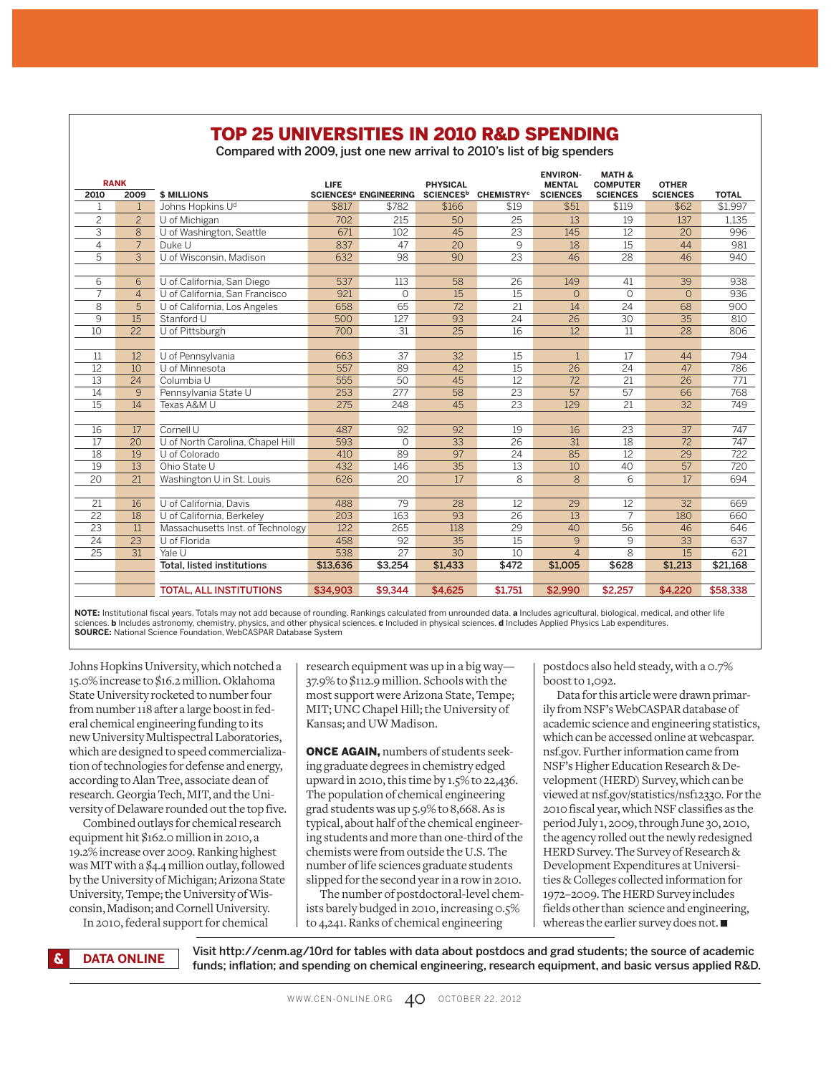#### TOP 25 UNIVERSITIES IN 2010 R&D SPENDING

Compared with 2009, just one new arrival to 2010's list of big spenders

|                 | <b>RANK</b>     |                                   | LIFE     |                                         | <b>PHYSICAL</b> |                                              | <b>ENVIRON-</b><br><b>MENTAL</b> | <b>MATH &amp;</b><br><b>COMPUTER</b> | <b>OTHER</b>    |              |
|-----------------|-----------------|-----------------------------------|----------|-----------------------------------------|-----------------|----------------------------------------------|----------------------------------|--------------------------------------|-----------------|--------------|
| 2010            | 2009            | <b>\$ MILLIONS</b>                |          | <b>SCIENCES<sup>a</sup> ENGINEERING</b> |                 | SCIENCES <sup>b</sup> CHEMISTRY <sup>c</sup> | <b>SCIENCES</b>                  | <b>SCIENCES</b>                      | <b>SCIENCES</b> | <b>TOTAL</b> |
| 1               | $\mathbf{1}$    | Johns Hopkins U <sup>d</sup>      | \$817    | \$782                                   | \$166           | \$19                                         | \$51                             | \$119                                | \$62            | \$1.997      |
| $\overline{c}$  | $\overline{c}$  | U of Michigan                     | 702      | 215                                     | 50              | 25                                           | 13                               | 19                                   | 137             | 1,135        |
| 3               | 8               | U of Washington, Seattle          | 671      | 102                                     | 45              | 23                                           | 145                              | 12                                   | 20              | 996          |
| $\overline{4}$  | $\overline{7}$  | Duke U                            | 837      | 47                                      | 20              | 9                                            | 18                               | 15                                   | 44              | 981          |
| 5               | 3               | U of Wisconsin, Madison           | 632      | 98                                      | 90              | 23                                           | 46                               | 28                                   | 46              | 940          |
|                 |                 |                                   |          |                                         |                 |                                              |                                  |                                      |                 |              |
| 6               | 6               | U of California, San Diego        | 537      | 113                                     | 58              | 26                                           | 149                              | 41                                   | $\overline{39}$ | 938          |
| $\overline{7}$  | $\overline{4}$  | U of California, San Francisco    | 921      | 0                                       | 15              | 15                                           | $\Omega$                         | $\Omega$                             | $\overline{O}$  | 936          |
| 8               | 5               | U of California, Los Angeles      | 658      | 65                                      | 72              | 21                                           | 14                               | 24                                   | 68              | 900          |
| 9               | 15              | Stanford U                        | 500      | 127                                     | 93              | 24                                           | 26                               | $\overline{30}$                      | 35              | 810          |
| 10              | 22              | U of Pittsburgh                   | 700      | 31                                      | $\overline{25}$ | 16                                           | 12                               | $\overline{11}$                      | 28              | 806          |
|                 |                 |                                   |          |                                         |                 |                                              |                                  |                                      |                 |              |
| 11              | 12              | U of Pennsylvania                 | 663      | 37                                      | 32              | 15                                           |                                  | 17                                   | 44              | 794          |
| 12              | 10              | U of Minnesota                    | 557      | 89                                      | 42              | 15                                           | 26                               | $\overline{24}$                      | 47              | 786          |
| 13              | 24              | Columbia U                        | 555      | 50                                      | 45              | 12                                           | 72                               | $\overline{21}$                      | $\overline{26}$ | 771          |
| 14              | 9               | Pennsylvania State U              | 253      | 277                                     | 58              | 23                                           | 57                               | 57                                   | 66              | 768          |
| 15              | 14              | Texas A&M U                       | 275      | 248                                     | 45              | 23                                           | 129                              | 21                                   | 32              | 749          |
|                 |                 |                                   |          |                                         |                 |                                              |                                  |                                      |                 |              |
| 16              | 17              | Cornell U                         | 487      | 92                                      | 92              | 19                                           | 16                               | 23                                   | $\overline{37}$ | 747          |
| $\overline{17}$ | 20              | U of North Carolina, Chapel Hill  | 593      | $\Omega$                                | $\overline{33}$ | $\overline{26}$                              | $\overline{31}$                  | 18                                   | 72              | 747          |
| 18              | 19              | U of Colorado                     | 410      | 89                                      | 97              | 24                                           | 85                               | 12                                   | 29              | 722          |
| 19              | 13              | Ohio State U                      | 432      | 146                                     | 35              | 13                                           | 10                               | 40                                   | 57              | 720          |
| 20              | 21              | Washington U in St. Louis         | 626      | 20                                      | 17              | $\overline{8}$                               | $\overline{8}$                   | $\overline{6}$                       | 17              | 694          |
|                 |                 |                                   |          |                                         |                 |                                              |                                  |                                      |                 |              |
| 21              | 16              | U of California, Davis            | 488      | 79                                      | 28              | 12                                           | 29                               | 12                                   | 32              | 669          |
| 22              | 18              | U of California, Berkeley         | 203      | 163                                     | 93              | 26                                           | 13                               | 7                                    | 180             | 660          |
| 23              | 11              | Massachusetts Inst. of Technology | 122      | 265                                     | 118             | 29                                           | 40                               | 56                                   | 46              | 646          |
| $\overline{24}$ | $\overline{23}$ | U of Florida                      | 458      | 92                                      | 35              | 15                                           | $\mathsf{Q}$                     | 9                                    | $\overline{33}$ | 637          |
| 25              | $\overline{31}$ | Yale U                            | 538      | 27                                      | 30              | 10                                           | $\overline{4}$                   | 8                                    | 15              | 621          |
|                 |                 | <b>Total, listed institutions</b> | \$13,636 | \$3.254                                 | \$1,433         | \$472                                        | \$1,005                          | \$628                                | \$1,213         | \$21,168     |
|                 |                 |                                   |          |                                         |                 |                                              |                                  |                                      |                 |              |
|                 |                 | <b>TOTAL, ALL INSTITUTIONS</b>    | \$34,903 | \$9,344                                 | \$4,625         | \$1,751                                      | \$2,990                          | \$2,257                              | \$4,220         | \$58,338     |

**NOTE:** Institutional fiscal years. Totals may not add because of rounding. Rankings calculated from unrounded data. **a** Includes agricultural, biological, medical, and other life sciences. **b** Includes astronomy, chemistry, physics, and other physical sciences. **c** Included in physical sciences. **d** Includes Applied Physics Lab expenditures. **SOURCE:** National Science Foundation, WebCASPAR Database System

Johns Hopkins University, which notched a 15.0% increase to \$16.2 million. Oklahoma State University rocketed to number four from number 118 after a large boost in federal chemical engineering funding to its new University Multispectral Laboratories, which are designed to speed commercialization of technologies for defense and energy, according to Alan Tree, associate dean of research. Georgia Tech, MIT, and the University of Delaware rounded out the top five.

Combined outlays for chemical research equipment hit \$162.0 million in 2010, a 19.2% increase over 2009. Ranking highest was MIT with a \$4.4 million outlay, followed by the University of Michigan; Arizona State University, Tempe; the University of Wisconsin, Madison; and Cornell University. In 2010, federal support for chemical

research equipment was up in a big way— 37.9% to \$112.9 million. Schools with the most support were Arizona State, Tempe; MIT; UNC Chapel Hill; the University of Kansas; and UW Madison.

**ONCE AGAIN, numbers of students seek**ing graduate degrees in chemistry edged upward in 2010, this time by 1.5% to 22,436. The population of chemical engineering grad students was up 5.9% to 8,668. As is typical, about half of the chemical engineering students and more than one-third of the chemists were from outside the U.S. The number of life sciences graduate students slipped for the second year in a row in 2010.

The number of postdoctoral-level chemists barely budged in 2010, increasing 0.5% to 4,241. Ranks of chemical engineering

postdocs also held steady, with a 0.7% boost to 1,092.

Data for this article were drawn primarily from NSF's WebCASPAR database of academic science and engineering statistics, which can be accessed online at webcaspar. nsf.gov. Further information came from NSF's Higher Education Research & Development (HERD) Survey, which can be viewed at nsf.gov/statistics/nsf12330. For the 2010 fiscal year, which NSF classifies as the period July 1, 2009, through June 30, 2010, the agency rolled out the newly redesigned HERD Survey. The Survey of Research & Development Expenditures at Universities & Colleges collected information for 1972–2009. The HERD Survey includes fields other than science and engineering, whereas the earlier survey does not. ■

Visit http://cenm.ag/10rd for tables with data about postdocs and grad students; the source of academic funds; inflation; and spending on chemical engineering, research equipment, and basic versus applied R&D. **DATA ONLINE**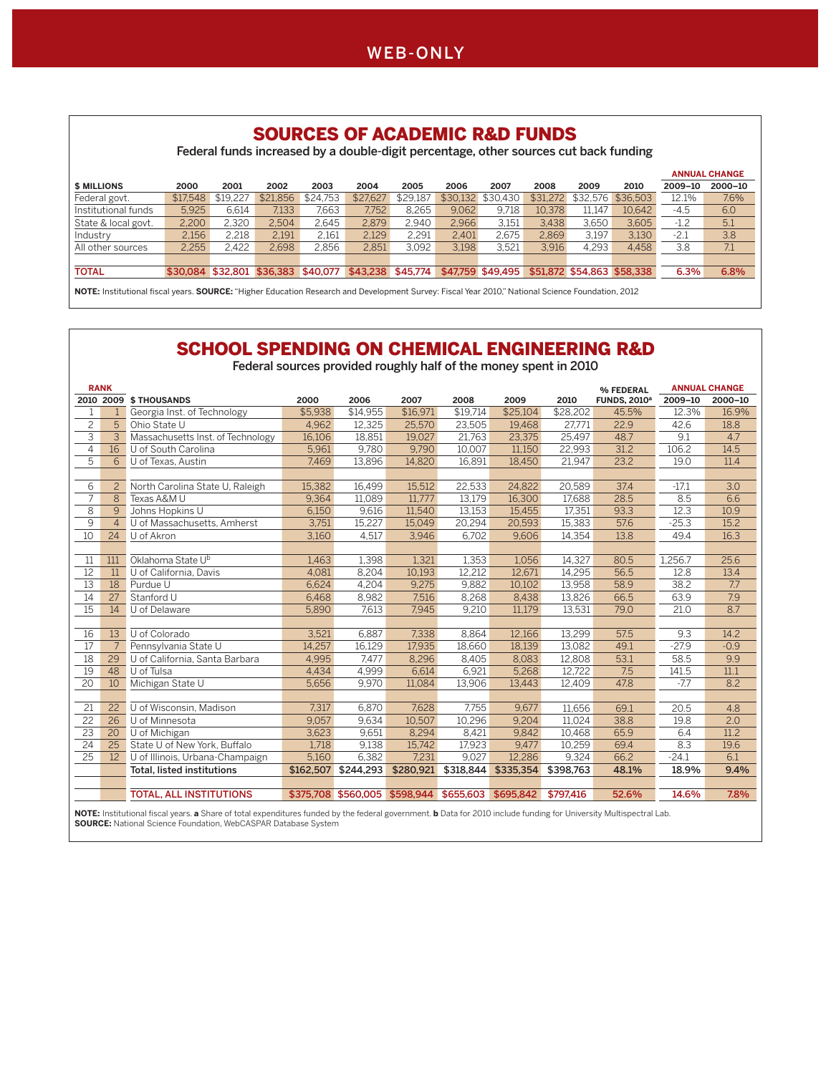

#### SOURCES OF ACADEMIC R&D FUNDS

Federal funds increased by a double-digit percentage, other sources cut back funding

| 2002<br>2003<br>\$24.753<br>\$21,856 | 2004<br>\$27,627                                      | 2005<br>\$29.187 | 2006<br>\$30.132                             | 2007<br>\$30,430 | 2008<br>\$31,272  | 2009<br>\$32,576 | 2010<br>\$36,503 | 2009-10                    | 2000-10 |
|--------------------------------------|-------------------------------------------------------|------------------|----------------------------------------------|------------------|-------------------|------------------|------------------|----------------------------|---------|
|                                      |                                                       |                  |                                              |                  |                   |                  |                  |                            |         |
|                                      |                                                       |                  |                                              |                  |                   |                  |                  | 12.1%                      | 7.6%    |
|                                      |                                                       |                  | 9.062                                        | 9.718            |                   | 11.147           | 10.642           | $-4.5$                     | 6.0     |
|                                      | 2.879                                                 | 2.940            | 2.966                                        | 3.151            | 3.438             | 3.650            | 3.605            | $-1.2$                     | 5.1     |
| 2,161                                | 2.129                                                 | 2.291            | 2.401                                        | 2.675            | 2.869             | 3.197            | 3.130            | $-2.1$                     | 3.8     |
|                                      | 2.851                                                 | 3.092            | 3.198                                        | 3.521            | 3.916             | 4.293            | 4.458            | 3.8                        | 7.1     |
|                                      |                                                       |                  |                                              |                  |                   |                  |                  |                            |         |
| \$40,077                             |                                                       | \$45.774         |                                              |                  |                   |                  |                  | 6.3%                       | 6.8%    |
|                                      | 2.504<br>2,191<br>2.698<br>\$30.084 \$32.801 \$36.383 | 2.645<br>2.856   | 7.663<br>7.752<br>7.133<br>8.265<br>\$43,238 |                  | \$47,759 \$49,495 |                  | 10.378           | \$51,872 \$54,863 \$58,338 |         |

**NOTE:** Institutional fiscal years. **SOURCE:** "Higher Education Research and Development Survey: Fiscal Year 2010," National Science Foundation, 2012

#### SCHOOL SPENDING ON CHEMICAL ENGINEERING R&D

Federal sources provided roughly half of the money spent in 2010

|                | <b>RANK</b>    |                                   |           |                     |                     |           |           |           | % FEDERAL                      |         | <b>ANNUAL CHANGE</b> |
|----------------|----------------|-----------------------------------|-----------|---------------------|---------------------|-----------|-----------|-----------|--------------------------------|---------|----------------------|
|                | 2010 2009      | <b>\$THOUSANDS</b>                | 2000      | 2006                | 2007                | 2008      | 2009      | 2010      | <b>FUNDS, 2010<sup>a</sup></b> | 2009-10 | 2000-10              |
| 1              |                | Georgia Inst. of Technology       | \$5,938   | \$14,955            | \$16,971            | \$19,714  | \$25,104  | \$28,202  | 45.5%                          | 12.3%   | 16.9%                |
| $\overline{c}$ | 5              | Ohio State U                      | 4,962     | 12,325              | 25,570              | 23,505    | 19,468    | 27,771    | 22.9                           | 42.6    | 18.8                 |
| $\overline{3}$ | 3              | Massachusetts Inst. of Technology | 16,106    | 18,851              | 19,027              | 21,763    | 23,375    | 25,497    | 48.7                           | 9.1     | 4.7                  |
| 4              | 16             | U of South Carolina               | 5.961     | 9.780               | 9.790               | 10.007    | 11,150    | 22,993    | 31.2                           | 106.2   | 14.5                 |
| 5              | 6              | U of Texas, Austin                | 7.469     | 13,896              | 14.820              | 16,891    | 18,450    | 21,947    | 23.2                           | 19.0    | 11.4                 |
|                |                |                                   |           |                     |                     |           |           |           |                                |         |                      |
| 6              | $\overline{2}$ | North Carolina State U, Raleigh   | 15,382    | 16,499              | 15,512              | 22,533    | 24,822    | 20,589    | 37.4                           | $-17.1$ | 3.0                  |
| 7              | 8              | Texas A&M U                       | 9,364     | 11,089              | 11.777              | 13.179    | 16,300    | 17,688    | 28.5                           | 8.5     | 6.6                  |
| 8              | 9              | Johns Hopkins U                   | 6.150     | 9.616               | 11.540              | 13.153    | 15.455    | 17.351    | 93.3                           | 12.3    | 10.9                 |
| 9              |                | U of Massachusetts, Amherst       | 3,751     | 15,227              | 15.049              | 20,294    | 20,593    | 15,383    | 57.6                           | $-25.3$ | 15.2                 |
| 10             | 24             | U of Akron                        | 3.160     | 4,517               | 3.946               | 6.702     | 9.606     | 14,354    | 13.8                           | 49.4    | 16.3                 |
|                |                |                                   |           |                     |                     |           |           |           |                                |         |                      |
| 11             | 111            | Oklahoma State U <sup>b</sup>     | 1,463     | 1,398               | 1,321               | 1,353     | 1,056     | 14,327    | 80.5                           | 1,256.7 | 25.6                 |
| 12             | 11             | U of California, Davis            | 4.081     | 8,204               | 10,193              | 12.212    | 12.671    | 14,295    | 56.5                           | 12.8    | 13.4                 |
| 13             | 18             | Purdue U                          | 6.624     | 4.204               | 9.275               | 9.882     | 10.102    | 13.958    | 58.9                           | 38.2    | 7.7                  |
| 14             | 27             | Stanford U                        | 6,468     | 8,982               | 7,516               | 8,268     | 8,438     | 13,826    | 66.5                           | 63.9    | 7.9                  |
| 15             | 14             | U of Delaware                     | 5,890     | 7,613               | 7,945               | 9,210     | 11.179    | 13,531    | 79.0                           | 21.0    | 8.7                  |
|                |                |                                   |           |                     |                     |           |           |           |                                |         |                      |
| 16             | 13             | U of Colorado                     | 3,521     | 6,887               | 7,338               | 8,864     | 12,166    | 13,299    | 57.5                           | 9.3     | 14.2                 |
| 17             |                | Pennsylvania State U              | 14.257    | 16.129              | 17.935              | 18.660    | 18.139    | 13.082    | 49.1                           | $-27.9$ | $-0.9$               |
| 18             | 29             | U of California, Santa Barbara    | 4,995     | 7.477               | 8,296               | 8,405     | 8,083     | 12,808    | 53.1                           | 58.5    | 9.9                  |
| 19             | 48             | U of Tulsa                        | 4.434     | 4.999               | 6.614               | 6,921     | 5,268     | 12.722    | 7.5                            | 141.5   | 11.1                 |
| 20             | 10             | Michigan State U                  | 5,656     | 9.970               | 11.084              | 13.906    | 13,443    | 12,409    | 47.8                           | $-7.7$  | 8.2                  |
|                |                |                                   |           |                     |                     |           |           |           |                                |         |                      |
| 21             | 22             | U of Wisconsin, Madison           | 7.317     | 6.870               | 7.628               | 7.755     | 9.677     | 11.656    | 69.1                           | 20.5    | 4.8                  |
| 22             | 26             | U of Minnesota                    | 9.057     | 9.634               | 10,507              | 10.296    | 9.204     | 11.024    | 38.8                           | 19.8    | 2.0                  |
| 23             | 20             | U of Michigan                     | 3,623     | 9,651               | 8,294               | 8,421     | 9,842     | 10,468    | 65.9                           | 6.4     | 11.2                 |
| 24             | 25             | State U of New York, Buffalo      | 1,718     | 9,138               | 15,742              | 17,923    | 9,477     | 10,259    | 69.4                           | 8.3     | 19.6                 |
| 25             | 12             | U of Illinois, Urbana-Champaign   | 5,160     | 6,382               | 7,231               | 9,027     | 12,286    | 9,324     | 66.2                           | $-24.1$ | 6.1                  |
|                |                | <b>Total, listed institutions</b> | \$162,507 | \$244,293           | \$280,921           | \$318,844 | \$335,354 | \$398,763 | 48.1%                          | 18.9%   | 9.4%                 |
|                |                |                                   |           |                     |                     |           |           |           |                                |         |                      |
|                |                | <b>TOTAL, ALL INSTITUTIONS</b>    |           | \$375,708 \$560,005 | \$598.944 \$655,603 |           | \$695,842 | \$797.416 | 52.6%                          | 14.6%   | 7.8%                 |
|                |                |                                   |           |                     |                     |           |           |           |                                |         |                      |

NOTE: Institutional fiscal years. **a** Share of total expenditures funded by the federal government. **b** Data for 2010 include funding for University Multispectral Lab.<br>**SOURCE:** National Science Foundation, WebCASPAR Datab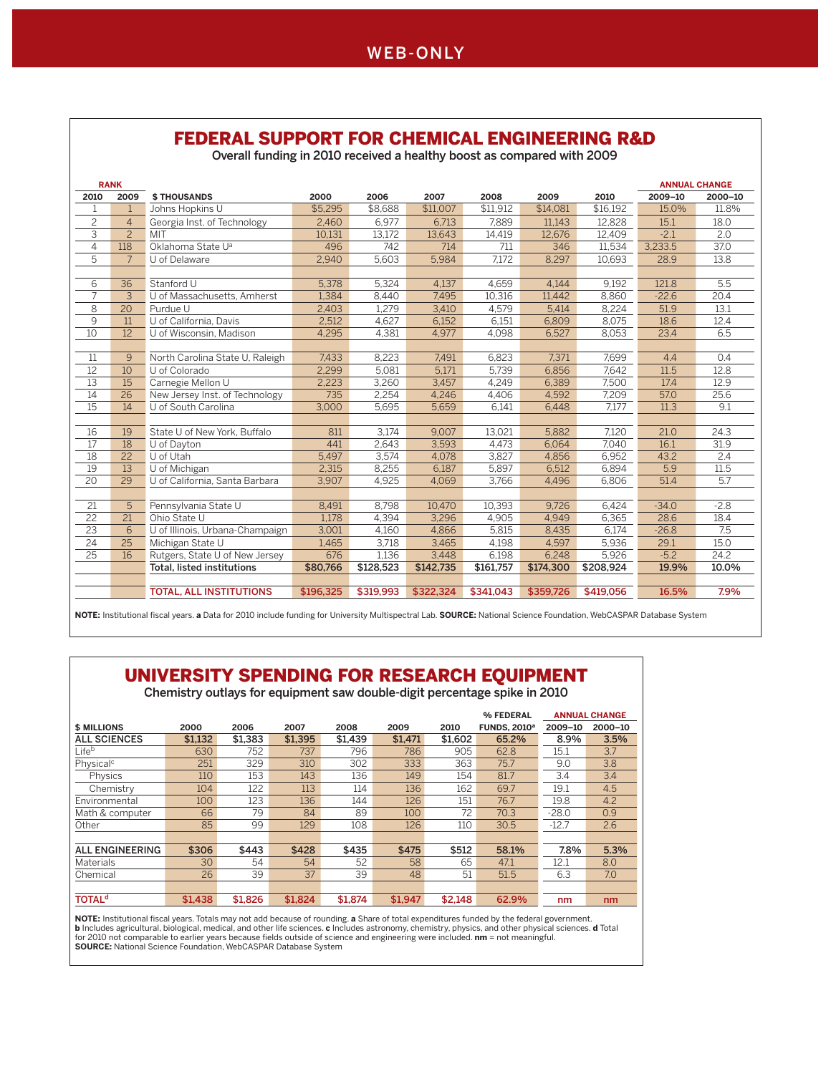# FEDERAL SUPPORT FOR CHEMICAL ENGINEERING R&D

Overall funding in 2010 received a healthy boost as compared with 2009

|                 | <b>RANK</b>    |                                   |           |           |           |           |           |           | <b>ANNUAL CHANGE</b> |         |
|-----------------|----------------|-----------------------------------|-----------|-----------|-----------|-----------|-----------|-----------|----------------------|---------|
| 2010            | 2009           | <b>\$THOUSANDS</b>                | 2000      | 2006      | 2007      | 2008      | 2009      | 2010      | 2009-10              | 2000-10 |
| $\mathbf{1}$    | $\mathbf{1}$   | Johns Hopkins U                   | \$5,295   | \$8,688   | \$11,007  | \$11,912  | \$14,081  | \$16,192  | 15.0%                | 11.8%   |
| $\overline{c}$  | $\overline{4}$ | Georgia Inst. of Technology       | 2.460     | 6.977     | 6.713     | 7.889     | 11.143    | 12.828    | 15.1                 | 18.0    |
| $\overline{3}$  | $\overline{2}$ | MIT                               | 10,131    | 13,172    | 13,643    | 14,419    | 12,676    | 12,409    | $-2.1$               | 2.0     |
| $\overline{4}$  | 118            | Oklahoma State U <sup>a</sup>     | 496       | 742       | 714       | 711       | 346       | 11,534    | 3,233.5              | 37.0    |
| 5               | $\overline{7}$ | U of Delaware                     | 2,940     | 5,603     | 5,984     | 7,172     | 8,297     | 10,693    | 28.9                 | 13.8    |
|                 |                |                                   |           |           |           |           |           |           |                      |         |
| 6               | 36             | Stanford U                        | 5,378     | 5,324     | 4,137     | 4,659     | 4,144     | 9,192     | 121.8                | 5.5     |
| $\overline{7}$  | 3              | U of Massachusetts, Amherst       | 1,384     | 8,440     | 7,495     | 10,316    | 11,442    | 8,860     | $-22.6$              | 20.4    |
| 8               | 20             | Purdue U                          | 2.403     | 1.279     | 3.410     | 4.579     | 5.414     | 8.224     | 51.9                 | 13.1    |
| 9               | 11             | U of California, Davis            | 2,512     | 4,627     | 6,152     | 6,151     | 6,809     | 8,075     | 18.6                 | 12.4    |
| $\overline{10}$ | 12             | U of Wisconsin, Madison           | 4.295     | 4.381     | 4.977     | 4.098     | 6.527     | 8.053     | 23.4                 | 6.5     |
|                 |                |                                   |           |           |           |           |           |           |                      |         |
| 11              | 9              | North Carolina State U, Raleigh   | 7,433     | 8,223     | 7,491     | 6,823     | 7,371     | 7,699     | 4.4                  | 0.4     |
| 12              | 10             | U of Colorado                     | 2,299     | 5,081     | 5,171     | 5,739     | 6,856     | 7,642     | 11.5                 | 12.8    |
| 13              | 15             | Carnegie Mellon U                 | 2.223     | 3.260     | 3.457     | 4.249     | 6.389     | 7.500     | 17.4                 | 12.9    |
| 14              | 26             | New Jersey Inst. of Technology    | 735       | 2.254     | 4,246     | 4.406     | 4,592     | 7,209     | 57.0                 | 25.6    |
| 15              | 14             | U of South Carolina               | 3,000     | 5,695     | 5,659     | 6.141     | 6.448     | 7.177     | 11.3                 | 9.1     |
|                 |                |                                   |           |           |           |           |           |           |                      |         |
| 16              | 19             | State U of New York, Buffalo      | 811       | 3,174     | 9,007     | 13,021    | 5,882     | 7,120     | 21.0                 | 24.3    |
| 17              | 18             | U of Dayton                       | 441       | 2,643     | 3.593     | 4.473     | 6,064     | 7,040     | 16.1                 | 31.9    |
| 18              | 22             | U of Utah                         | 5,497     | 3,574     | 4,078     | 3,827     | 4,856     | 6,952     | 43.2                 | 2.4     |
| 19              | 13             | U of Michigan                     | 2,315     | 8,255     | 6,187     | 5,897     | 6.512     | 6,894     | 5.9                  | 11.5    |
| 20              | 29             | U of California, Santa Barbara    | 3,907     | 4,925     | 4,069     | 3,766     | 4,496     | 6,806     | 51.4                 | 5.7     |
|                 |                |                                   |           |           |           |           |           |           |                      |         |
| 21              | 5              | Pennsylvania State U              | 8,491     | 8,798     | 10.470    | 10,393    | 9.726     | 6,424     | $-34.0$              | $-2.8$  |
| 22              | 21             | Ohio State U                      | 1.178     | 4,394     | 3,296     | 4.905     | 4.949     | 6,365     | 28.6                 | 18.4    |
| 23              | 6              | U of Illinois, Urbana-Champaign   | 3,001     | 4,160     | 4,866     | 5,815     | 8,435     | 6,174     | $-26.8$              | 7.5     |
| 24              | 25             | Michigan State U                  | 1,465     | 3,718     | 3,465     | 4,198     | 4,597     | 5,936     | 29.1                 | 15.0    |
| 25              | 16             | Rutgers, State U of New Jersey    | 676       | 1,136     | 3,448     | 6,198     | 6.248     | 5,926     | $-5.2$               | 24.2    |
|                 |                | <b>Total, listed institutions</b> | \$80,766  | \$128,523 | \$142,735 | \$161,757 | \$174,300 | \$208,924 | 19.9%                | 10.0%   |
|                 |                |                                   |           |           |           |           |           |           |                      |         |
|                 |                | <b>TOTAL, ALL INSTITUTIONS</b>    | \$196,325 | \$319.993 | \$322,324 | \$341.043 | \$359.726 | \$419,056 | 16.5%                | 7.9%    |

**NOTE:** Institutional fiscal years. **a** Data for 2010 include funding for University Multispectral Lab. **SOURCE:** National Science Foundation, WebCASPAR Database System

# UNIVERSITY SPENDING FOR RESEARCH EQUIPMENT

Chemistry outlays for equipment saw double-digit percentage spike in 2010

|                          |         |         |         |         |         |         | % FEDERAL                      |         | <b>ANNUAL CHANGE</b> |
|--------------------------|---------|---------|---------|---------|---------|---------|--------------------------------|---------|----------------------|
| <b>\$ MILLIONS</b>       | 2000    | 2006    | 2007    | 2008    | 2009    | 2010    | <b>FUNDS, 2010<sup>a</sup></b> | 2009-10 | 2000-10              |
| <b>ALL SCIENCES</b>      | \$1.132 | \$1,383 | \$1.395 | \$1.439 | \$1.471 | \$1,602 | 65.2%                          | 8.9%    | 3.5%                 |
| Lifeb                    | 630     | 752     | 737     | 796     | 786     | 905     | 62.8                           | 15.1    | 3.7                  |
| Physical <sup>c</sup>    | 251     | 329     | 310     | 302     | 333     | 363     | 75.7                           | 9.0     | 3.8                  |
| Physics                  | 110     | 153     | 143     | 136     | 149     | 154     | 81.7                           | 3.4     | 3.4                  |
| Chemistry                | 104     | 122     | 113     | 114     | 136     | 162     | 69.7                           | 19.1    | 4.5                  |
| Environmental            | 100     | 123     | 136     | 144     | 126     | 151     | 76.7                           | 19.8    | 4.2                  |
| Math & computer          | 66      | 79      | 84      | 89      | 100     | 72      | 70.3                           | $-28.0$ | 0.9                  |
| Other                    | 85      | 99      | 129     | 108     | 126     | 110     | 30.5                           | $-12.7$ | 2.6                  |
|                          |         |         |         |         |         |         |                                |         |                      |
| <b>ALL ENGINEERING</b>   | \$306   | \$443   | \$428   | \$435   | \$475   | \$512   | 58.1%                          | 7.8%    | 5.3%                 |
| <b>Materials</b>         | 30      | 54      | 54      | 52      | 58      | 65      | 47.1                           | 12.1    | 8.0                  |
| Chemical                 | 26      | 39      | 37      | 39      | 48      | 51      | 51.5                           | 6.3     | 7.0                  |
|                          |         |         |         |         |         |         |                                |         |                      |
| <b>TOTAL<sup>d</sup></b> | \$1,438 | \$1,826 | \$1,824 | \$1,874 | \$1.947 | \$2.148 | 62.9%                          | nm      | nm                   |

**NOTE:** Institutional fiscal years. Totals may not add because of rounding. **a** Share of total expenditures funded by the federal government.<br>**b** Includes agricultural, biological, medical, and other life sciences. **c** Inc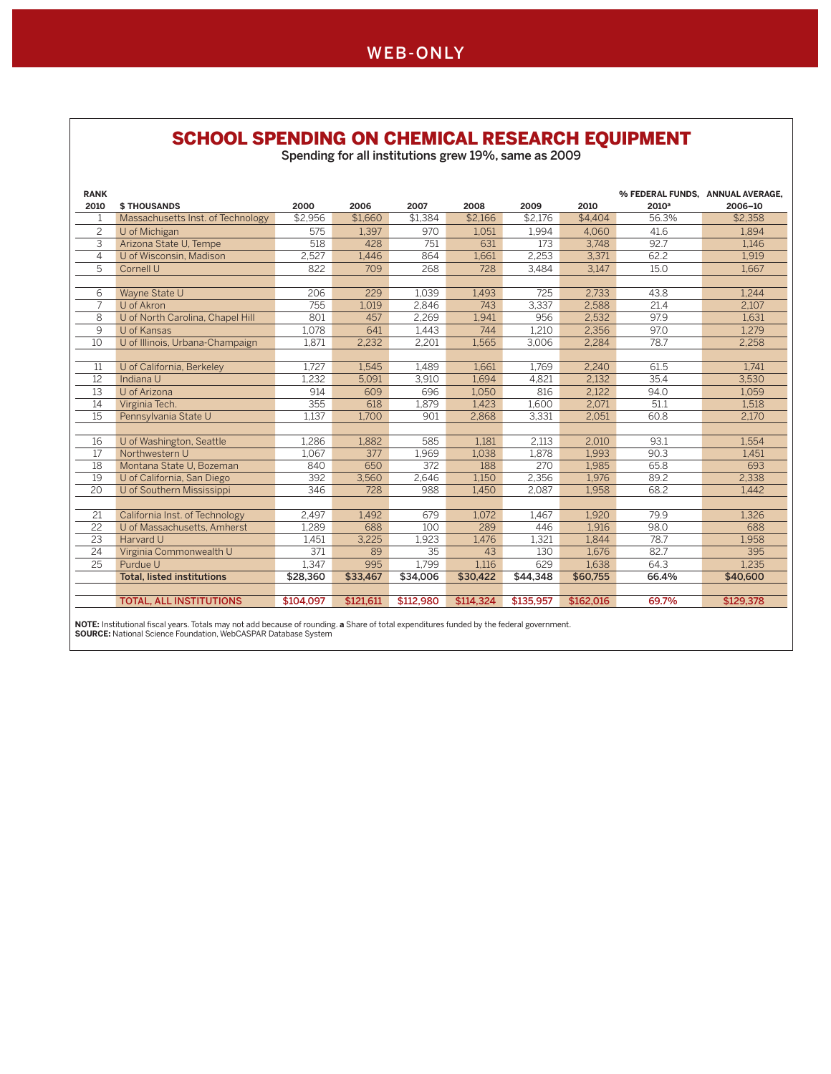#### SCHOOL SPENDING ON CHEMICAL RESEARCH EQUIPMENT

Spending for all institutions grew 19%, same as 2009

| <b>RANK</b>    |                                                                                                                                        |           |           |           |           |           |           | % FEDERAL FUNDS, ANNUAL AVERAGE, |           |
|----------------|----------------------------------------------------------------------------------------------------------------------------------------|-----------|-----------|-----------|-----------|-----------|-----------|----------------------------------|-----------|
| 2010           | <b>\$THOUSANDS</b>                                                                                                                     | 2000      | 2006      | 2007      | 2008      | 2009      | 2010      | 2010 <sup>a</sup>                | 2006-10   |
|                | Massachusetts Inst. of Technology                                                                                                      | \$2.956   | \$1,660   | \$1.384   | \$2,166   | \$2.176   | \$4,404   | 56.3%                            | \$2,358   |
| $\overline{c}$ | U of Michigan                                                                                                                          | 575       | 1.397     | 970       | 1.051     | 1.994     | 4.060     | 41.6                             | 1.894     |
| 3              | Arizona State U, Tempe                                                                                                                 | 518       | 428       | 751       | 631       | 173       | 3,748     | 92.7                             | 1.146     |
| 4              | U of Wisconsin, Madison                                                                                                                | 2,527     | 1,446     | 864       | 1,661     | 2,253     | 3,371     | 62.2                             | 1,919     |
| 5              | Cornell U                                                                                                                              | 822       | 709       | 268       | 728       | 3,484     | 3,147     | 15.0                             | 1,667     |
|                |                                                                                                                                        |           |           |           |           |           |           |                                  |           |
| 6              | Wayne State U                                                                                                                          | 206       | 229       | 1.039     | 1,493     | 725       | 2.733     | 43.8                             | 1.244     |
| 7              | U of Akron                                                                                                                             | 755       | 1,019     | 2,846     | 743       | 3,337     | 2,588     | 21.4                             | 2.107     |
| 8              | U of North Carolina, Chapel Hill                                                                                                       | 801       | 457       | 2,269     | 1,941     | 956       | 2,532     | 97.9                             | 1,631     |
| 9              | U of Kansas                                                                                                                            | 1,078     | 641       | 1,443     | 744       | 1,210     | 2,356     | 97.0                             | 1,279     |
| 10             | U of Illinois, Urbana-Champaign                                                                                                        | 1,871     | 2,232     | 2,201     | 1.565     | 3,006     | 2,284     | 78.7                             | 2,258     |
|                |                                                                                                                                        |           |           |           |           |           |           |                                  |           |
| 11             | U of California, Berkeley                                                                                                              | 1,727     | 1,545     | 1,489     | 1,661     | 1,769     | 2,240     | 61.5                             | 1.741     |
| 12             | Indiana U                                                                                                                              | 1,232     | 5,091     | 3,910     | 1,694     | 4,821     | 2,132     | 35.4                             | 3,530     |
| 13             | U of Arizona                                                                                                                           | 914       | 609       | 696       | 1,050     | 816       | 2,122     | 94.0                             | 1,059     |
| 14             | Virginia Tech.                                                                                                                         | 355       | 618       | 1,879     | 1,423     | 1,600     | 2,071     | 51.1                             | 1,518     |
| 15             | Pennsylvania State U                                                                                                                   | 1,137     | 1,700     | 901       | 2,868     | 3,331     | 2,051     | 60.8                             | 2,170     |
|                |                                                                                                                                        |           |           |           |           |           |           |                                  |           |
| 16             | U of Washington, Seattle                                                                                                               | 1.286     | 1.882     | 585       | 1.181     | 2.113     | 2.010     | 93.1                             | 1.554     |
| 17             | Northwestern U                                                                                                                         | 1,067     | 377       | 1,969     | 1,038     | 1,878     | 1,993     | 90.3                             | 1,451     |
| 18             | Montana State U, Bozeman                                                                                                               | 840       | 650       | 372       | 188       | 270       | 1,985     | 65.8                             | 693       |
| 19             | U of California, San Diego                                                                                                             | 392       | 3,560     | 2,646     | 1,150     | 2,356     | 1,976     | 89.2                             | 2,338     |
| 20             | U of Southern Mississippi                                                                                                              | 346       | 728       | 988       | 1,450     | 2,087     | 1,958     | 68.2                             | 1,442     |
|                |                                                                                                                                        |           |           |           |           |           |           |                                  |           |
| 21             | California Inst. of Technology                                                                                                         | 2.497     | 1,492     | 679       | 1,072     | 1.467     | 1,920     | 79.9                             | 1,326     |
| 22             | U of Massachusetts, Amherst                                                                                                            | 1,289     | 688       | 100       | 289       | 446       | 1,916     | 98.0                             | 688       |
| 23             | Harvard U                                                                                                                              | 1,451     | 3,225     | 1,923     | 1,476     | 1,321     | 1,844     | 78.7                             | 1,958     |
| 24             | Virginia Commonwealth U                                                                                                                | 371       | 89        | 35        | 43        | 130       | 1,676     | 82.7                             | 395       |
| 25             | Purdue U                                                                                                                               | 1.347     | 995       | 1.799     | 1.116     | 629       | 1.638     | 64.3                             | 1.235     |
|                | <b>Total, listed institutions</b>                                                                                                      | \$28,360  | \$33,467  | \$34,006  | \$30,422  | \$44,348  | \$60,755  | 66.4%                            | \$40,600  |
|                |                                                                                                                                        |           |           |           |           |           |           |                                  |           |
|                | <b>TOTAL, ALL INSTITUTIONS</b>                                                                                                         | \$104.097 | \$121,611 | \$112,980 | \$114.324 | \$135.957 | \$162,016 | 69.7%                            | \$129,378 |
|                | NOTE: Institutional fiscal years Totals may not add because of rounding a Share of total expenditures funded by the federal government |           |           |           |           |           |           |                                  |           |

**NOTE:** Institutional fiscal years. Totals may not add because of rounding. **a** Share of total expenditures funded by the federal government. **SOURCE:** National Science Foundation, WebCASPAR Database System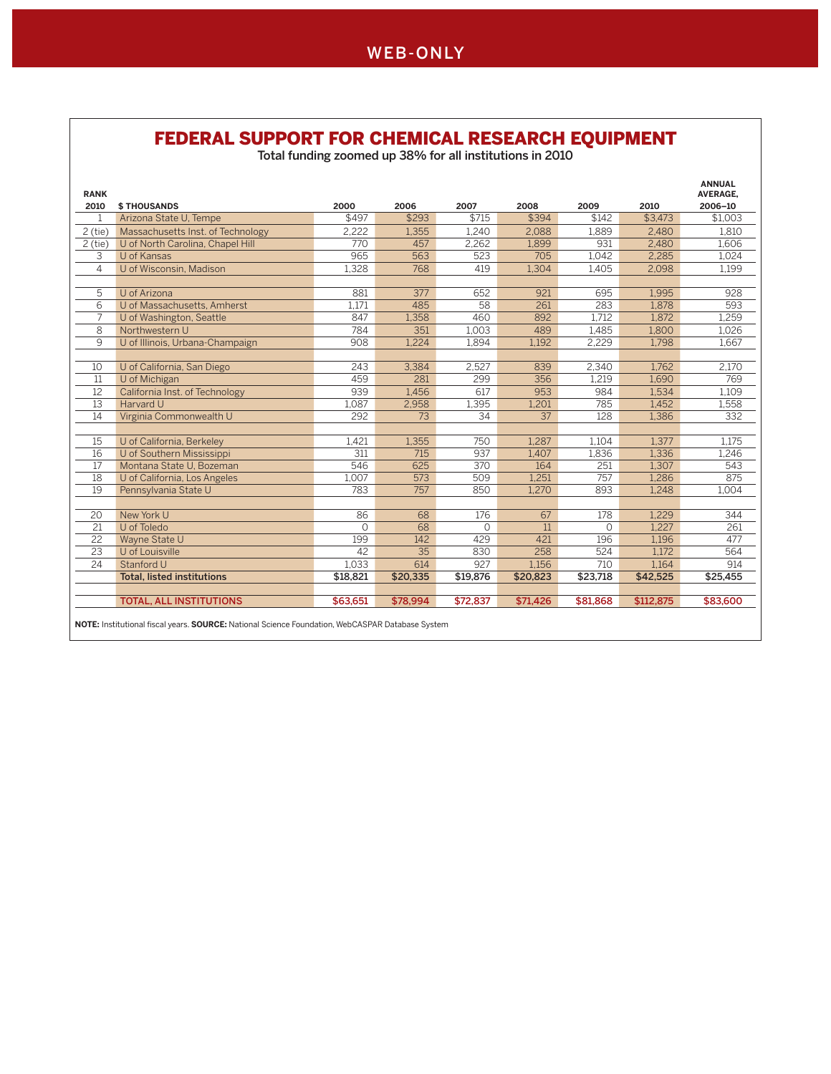#### FEDERAL SUPPORT FOR CHEMICAL RESEARCH EQUIPMENT

Total funding zoomed up 38% for all institutions in 2010

| <b>RANK</b>     |                                   |          |          |          |          |          |           | <b>ANNUAL</b><br><b>AVERAGE,</b> |
|-----------------|-----------------------------------|----------|----------|----------|----------|----------|-----------|----------------------------------|
| 2010            | <b>\$THOUSANDS</b>                | 2000     | 2006     | 2007     | 2008     | 2009     | 2010      | 2006-10                          |
| 1               | Arizona State U, Tempe            | \$497    | \$293    | \$715    | \$394    | \$142    | \$3,473   | \$1.003                          |
| $2$ (tie)       | Massachusetts Inst. of Technology | 2.222    | 1.355    | 1.240    | 2.088    | 1.889    | 2.480     | 1.810                            |
| $2$ (tie)       | U of North Carolina, Chapel Hill  | 770      | 457      | 2,262    | 1,899    | 931      | 2,480     | 1,606                            |
| 3               | U of Kansas                       | 965      | 563      | 523      | 705      | 1,042    | 2,285     | 1,024                            |
| $\overline{4}$  | U of Wisconsin, Madison           | 1,328    | 768      | 419      | 1,304    | 1,405    | 2,098     | 1,199                            |
|                 |                                   |          |          |          |          |          |           |                                  |
| 5               | U of Arizona                      | 881      | 377      | 652      | 921      | 695      | 1,995     | 928                              |
| 6               | U of Massachusetts, Amherst       | 1.171    | 485      | 58       | 261      | 283      | 1.878     | 593                              |
| 7               | U of Washington, Seattle          | 847      | 1,358    | 460      | 892      | 1,712    | 1,872     | 1,259                            |
| $\overline{8}$  | Northwestern U                    | 784      | 351      | 1.003    | 489      | 1.485    | 1.800     | 1,026                            |
| 9               | U of Illinois, Urbana-Champaign   | 908      | 1,224    | 1,894    | 1,192    | 2,229    | 1,798     | 1,667                            |
|                 |                                   |          |          |          |          |          |           |                                  |
| 10              | U of California, San Diego        | 243      | 3,384    | 2,527    | 839      | 2,340    | 1.762     | 2,170                            |
| 11              | U of Michigan                     | 459      | 281      | 299      | 356      | 1.219    | 1.690     | 769                              |
| 12              | California Inst. of Technology    | 939      | 1.456    | 617      | 953      | 984      | 1,534     | 1,109                            |
| 13              | Harvard U                         | 1.087    | 2,958    | 1,395    | 1.201    | 785      | 1.452     | 1,558                            |
| 14              | Virginia Commonwealth U           | 292      | 73       | 34       | 37       | 128      | 1,386     | 332                              |
|                 |                                   |          |          |          |          |          |           |                                  |
| 15              | U of California, Berkeley         | 1,421    | 1,355    | 750      | 1.287    | 1.104    | 1.377     | 1,175                            |
| 16              | U of Southern Mississippi         | 311      | 715      | 937      | 1.407    | 1,836    | 1,336     | 1,246                            |
| 17              | Montana State U. Bozeman          | 546      | 625      | 370      | 164      | 251      | 1,307     | 543                              |
| 18              | U of California, Los Angeles      | 1,007    | 573      | 509      | 1,251    | 757      | 1,286     | 875                              |
| 19              | Pennsylvania State U              | 783      | 757      | 850      | 1.270    | 893      | 1.248     | 1.004                            |
|                 |                                   |          |          |          |          |          |           |                                  |
| 20              | New York U                        | 86       | 68       | 176      | 67       | 178      | 1,229     | 344                              |
| 21              | U of Toledo                       | $\Omega$ | 68       | $\circ$  | 11       | $\circ$  | 1,227     | 261                              |
| 22              | Wayne State U                     | 199      | 142      | 429      | 421      | 196      | 1,196     | 477                              |
| 23              | U of Louisville                   | 42       | 35       | 830      | 258      | 524      | 1,172     | 564                              |
| $\overline{24}$ | Stanford U                        | 1.033    | 614      | 927      | 1,156    | 710      | 1,164     | 914                              |
|                 | <b>Total, listed institutions</b> | \$18,821 | \$20,335 | \$19,876 | \$20,823 | \$23,718 | \$42,525  | \$25,455                         |
|                 | <b>TOTAL, ALL INSTITUTIONS</b>    | \$63,651 | \$78,994 | \$72,837 | \$71,426 | \$81,868 | \$112,875 | \$83,600                         |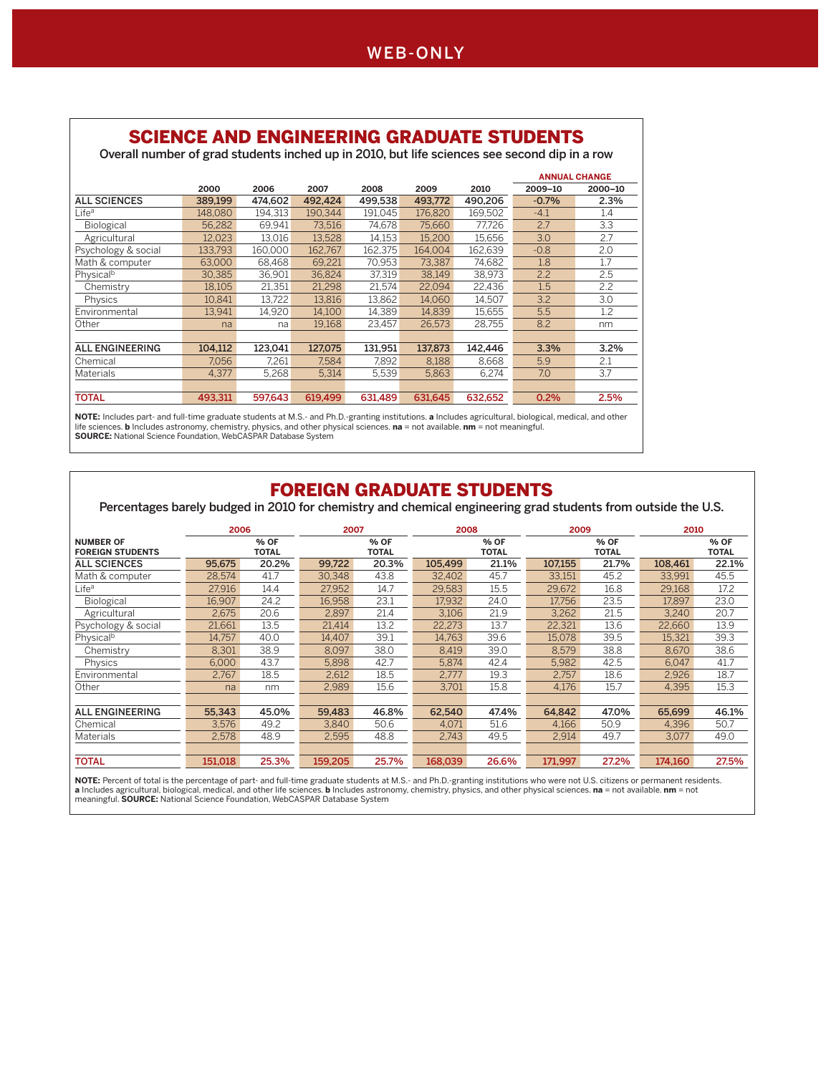### SCIENCE AND ENGINEERING GRADUATE STUDENTS

Overall number of grad students inched up in 2010, but life sciences see second dip in a row

|                        |         |         |         |         |         |         |         | <b>ANNUAL CHANGE</b> |
|------------------------|---------|---------|---------|---------|---------|---------|---------|----------------------|
|                        | 2000    | 2006    | 2007    | 2008    | 2009    | 2010    | 2009-10 | 2000-10              |
| <b>ALL SCIENCES</b>    | 389.199 | 474.602 | 492.424 | 499,538 | 493.772 | 490.206 | $-0.7%$ | 2.3%                 |
| Life <sup>a</sup>      | 148.080 | 194.313 | 190.344 | 191.045 | 176,820 | 169.502 | $-4.1$  | 1.4                  |
| <b>Biological</b>      | 56.282  | 69.941  | 73,516  | 74.678  | 75,660  | 77.726  | 2.7     | 3.3                  |
| Agricultural           | 12.023  | 13,016  | 13.528  | 14,153  | 15,200  | 15,656  | 3.0     | 2.7                  |
| Psychology & social    | 133.793 | 160.000 | 162.767 | 162,375 | 164.004 | 162.639 | $-0.8$  | 2.0                  |
| Math & computer        | 63.000  | 68.468  | 69.221  | 70,953  | 73.387  | 74.682  | 1.8     | 1.7                  |
| Physical <sup>b</sup>  | 30.385  | 36.901  | 36.824  | 37.319  | 38.149  | 38.973  | 2.2     | 2.5                  |
| Chemistry              | 18.105  | 21.351  | 21.298  | 21.574  | 22.094  | 22.436  | 1.5     | 2.2                  |
| Physics                | 10.841  | 13,722  | 13.816  | 13,862  | 14.060  | 14.507  | 3.2     | 3.0                  |
| Environmental          | 13,941  | 14.920  | 14.100  | 14.389  | 14.839  | 15.655  | 5.5     | 1.2                  |
| Other                  | na      | na      | 19.168  | 23.457  | 26.573  | 28.755  | 8.2     | nm                   |
|                        |         |         |         |         |         |         |         |                      |
| <b>ALL ENGINEERING</b> | 104.112 | 123.041 | 127,075 | 131.951 | 137.873 | 142.446 | 3.3%    | 3.2%                 |
| Chemical               | 7.056   | 7,261   | 7.584   | 7.892   | 8.188   | 8.668   | 5.9     | 2.1                  |
| <b>Materials</b>       | 4,377   | 5,268   | 5,314   | 5,539   | 5,863   | 6,274   | 7.0     | 3.7                  |
|                        |         |         |         |         |         |         |         |                      |
| <b>TOTAL</b>           | 493.311 | 597.643 | 619.499 | 631.489 | 631.645 | 632.652 | 0.2%    | 2.5%                 |

**NOTE:** Includes part- and full-time graduate students at M.S.- and Ph.D.-granting institutions. **a** Includes agricultural, biological, medical, and other<br>life sciences. **b** Includes astronomy, chemistry, physics, and othe

#### FOREIGN GRADUATE STUDENTS

Percentages barely budged in 2010 for chemistry and chemical engineering grad students from outside the U.S.

|                         | 2006    |              | 2007    |              | 2008    |              | 2009    |              | 2010    |              |
|-------------------------|---------|--------------|---------|--------------|---------|--------------|---------|--------------|---------|--------------|
| <b>NUMBER OF</b>        |         | % OF         |         | % OF         |         | % OF         |         | % OF         |         | % OF         |
| <b>FOREIGN STUDENTS</b> |         | <b>TOTAL</b> |         | <b>TOTAL</b> |         | <b>TOTAL</b> |         | <b>TOTAL</b> |         | <b>TOTAL</b> |
| <b>ALL SCIENCES</b>     | 95,675  | 20.2%        | 99.722  | 20.3%        | 105.499 | 21.1%        | 107.155 | 21.7%        | 108,461 | 22.1%        |
| Math & computer         | 28,574  | 41.7         | 30.348  | 43.8         | 32.402  | 45.7         | 33.151  | 45.2         | 33.991  | 45.5         |
| Life <sup>a</sup>       | 27.916  | 14.4         | 27.952  | 14.7         | 29.583  | 15.5         | 29.672  | 16.8         | 29.168  | 17.2         |
| Biological              | 16,907  | 24.2         | 16.958  | 23.1         | 17.932  | 24.0         | 17.756  | 23.5         | 17.897  | 23.0         |
| Agricultural            | 2.675   | 20.6         | 2.897   | 21.4         | 3.106   | 21.9         | 3.262   | 21.5         | 3.240   | 20.7         |
| Psychology & social     | 21.661  | 13.5         | 21.414  | 13.2         | 22.273  | 13.7         | 22.321  | 13.6         | 22,660  | 13.9         |
| Physical <sup>b</sup>   | 14.757  | 40.0         | 14.407  | 39.1         | 14.763  | 39.6         | 15.078  | 39.5         | 15.321  | 39.3         |
| Chemistry               | 8.301   | 38.9         | 8.097   | 38.0         | 8.419   | 39.0         | 8.579   | 38.8         | 8.670   | 38.6         |
| Physics                 | 6.000   | 43.7         | 5.898   | 42.7         | 5.874   | 42.4         | 5.982   | 42.5         | 6.047   | 41.7         |
| Environmental           | 2.767   | 18.5         | 2.612   | 18.5         | 2.777   | 19.3         | 2.757   | 18.6         | 2.926   | 18.7         |
| Other                   | na      | nm           | 2.989   | 15.6         | 3.701   | 15.8         | 4,176   | 15.7         | 4.395   | 15.3         |
|                         |         |              |         |              |         |              |         |              |         |              |
| <b>ALL ENGINEERING</b>  | 55.343  | 45.0%        | 59.483  | 46.8%        | 62.540  | 47.4%        | 64.842  | 47.0%        | 65.699  | 46.1%        |
| Chemical                | 3.576   | 49.2         | 3.840   | 50.6         | 4.071   | 51.6         | 4.166   | 50.9         | 4.396   | 50.7         |
| Materials               | 2,578   | 48.9         | 2,595   | 48.8         | 2.743   | 49.5         | 2,914   | 49.7         | 3,077   | 49.0         |
|                         |         |              |         |              |         |              |         |              |         |              |
| <b>TOTAL</b>            | 151.018 | 25.3%        | 159.205 | 25.7%        | 168.039 | 26.6%        | 171.997 | 27.2%        | 174.160 | 27.5%        |

**NOTE:** Percent of total is the percentage of part- and full-time graduate students at M.S.- and Ph.D.-granting institutions who were not U.S. citizens or permanent residents. **a** Includes agricultural, biological, medical, and other life sciences. **b** Includes astronomy, chemistry, physics, and other physical sciences. **na** = not available. **nm** = not<br>meaningful. **SOURCE:** National Science Foun